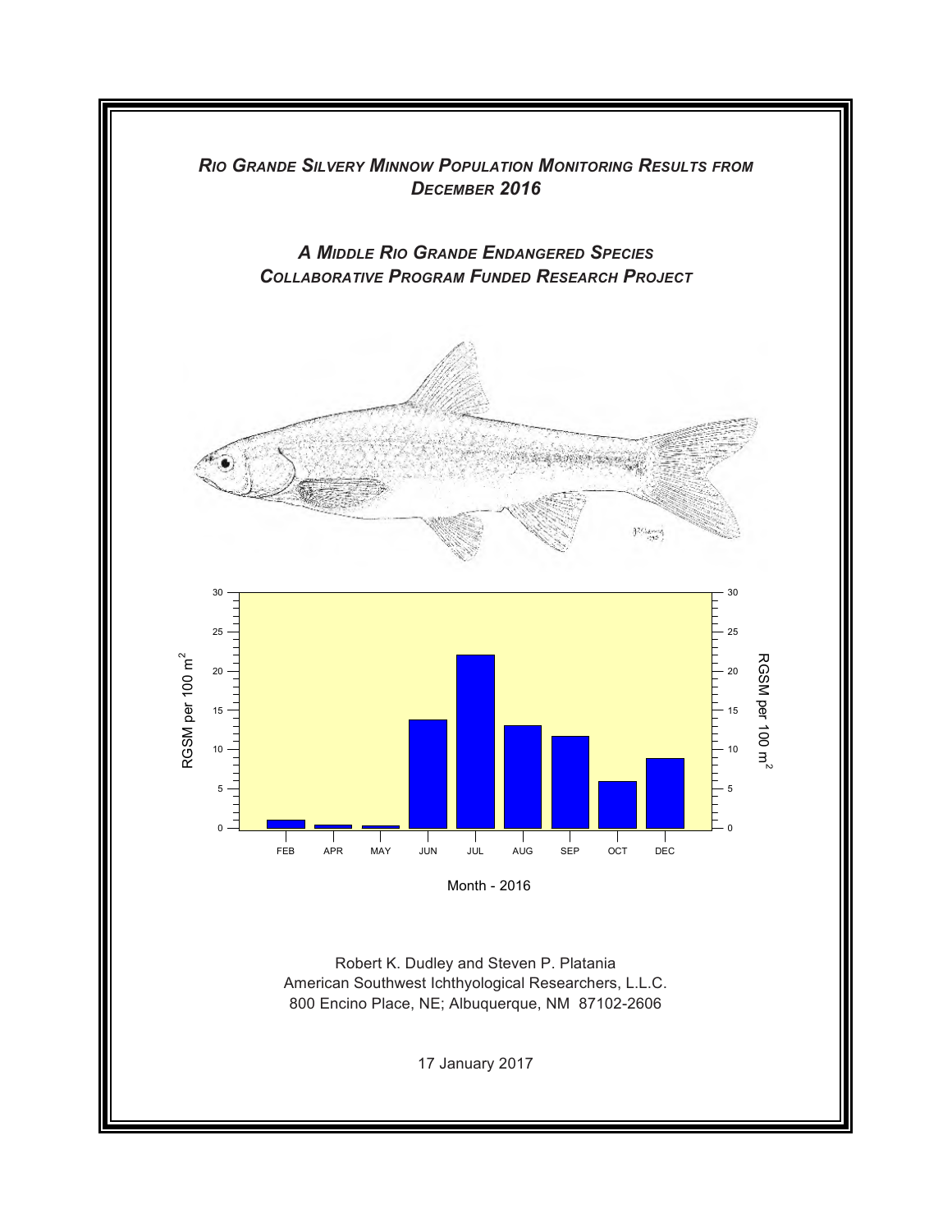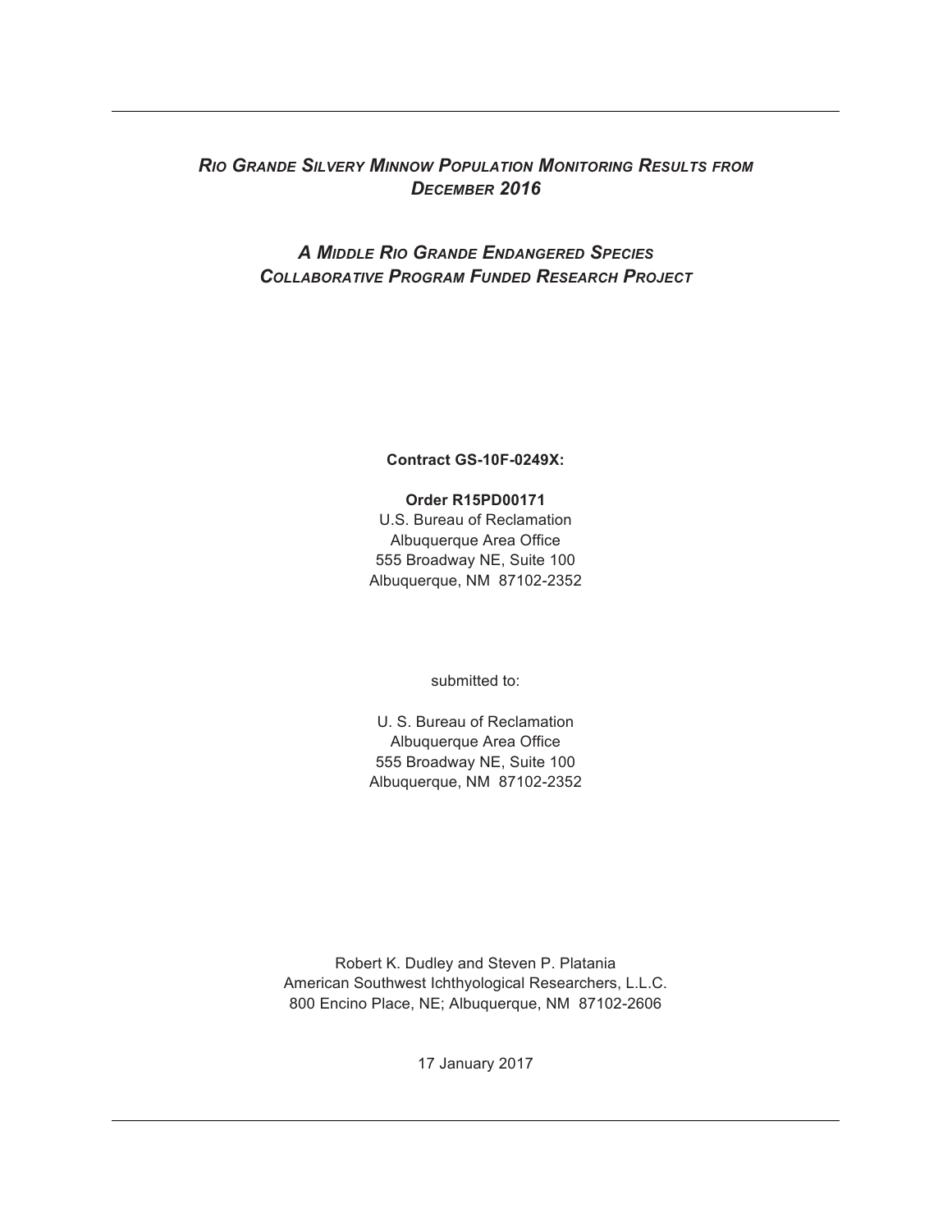# *RIO GRANDE SILVERY MINNOW POPULATION MONITORING RESULTS FROM DECEMBER 2016*

# *A MIDDLE RIO GRANDE ENDANGERED SPECIES COLLABORATIVE PROGRAM FUNDED RESEARCH PROJECT*

**Contract GS-10F-0249X:**

## **Order R15PD00171**

U.S. Bureau of Reclamation Albuquerque Area Office 555 Broadway NE, Suite 100 Albuquerque, NM 87102-2352

submitted to:

U. S. Bureau of Reclamation Albuquerque Area Office 555 Broadway NE, Suite 100 Albuquerque, NM 87102-2352

Robert K. Dudley and Steven P. Platania American Southwest Ichthyological Researchers, L.L.C. 800 Encino Place, NE; Albuquerque, NM 87102-2606

17 January 2017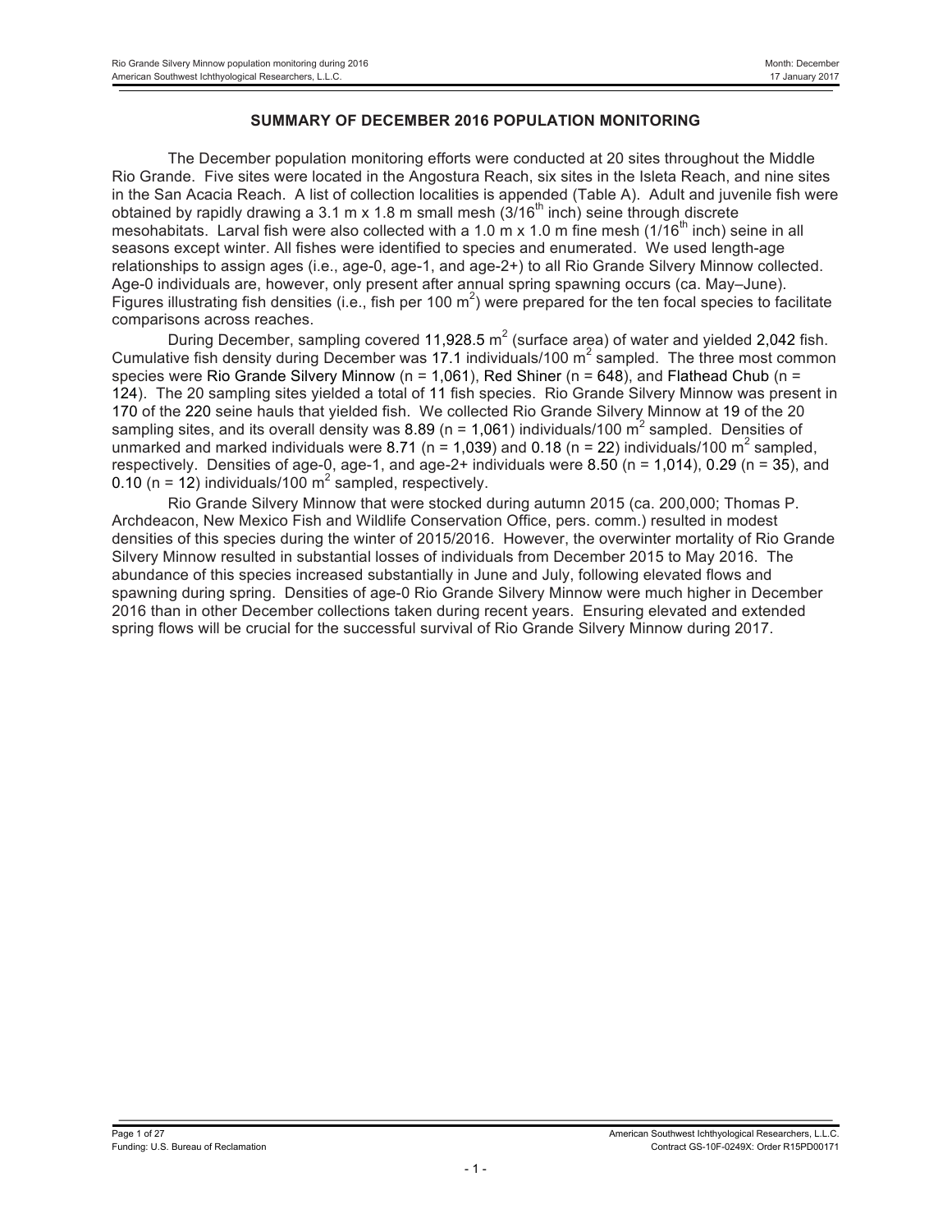## **SUMMARY OF DECEMBER 2016 POPULATION MONITORING**

The December population monitoring efforts were conducted at 20 sites throughout the Middle Rio Grande. Five sites were located in the Angostura Reach, six sites in the Isleta Reach, and nine sites in the San Acacia Reach. A list of collection localities is appended (Table A). Adult and juvenile fish were obtained by rapidly drawing a 3.1 m x 1.8 m small mesh  $(3/16<sup>th</sup>$  inch) seine through discrete mesohabitats. Larval fish were also collected with a 1.0 m x 1.0 m fine mesh ( $1/16<sup>th</sup>$  inch) seine in all seasons except winter. All fishes were identified to species and enumerated. We used length-age relationships to assign ages (i.e., age-0, age-1, and age-2+) to all Rio Grande Silvery Minnow collected. Age-0 individuals are, however, only present after annual spring spawning occurs (ca. May–June). Figures illustrating fish densities (i.e., fish per 100 m<sup>2</sup>) were prepared for the ten focal species to facilitate comparisons across reaches.

During December, sampling covered 11,928.5  $m^2$  (surface area) of water and yielded 2,042 fish. Cumulative fish density during December was 17.1 individuals/100  $m<sup>2</sup>$  sampled. The three most common species were Rio Grande Silvery Minnow ( $n = 1,061$ ), Red Shiner ( $n = 648$ ), and Flathead Chub ( $n =$ 124). The 20 sampling sites yielded a total of 11 fish species. Rio Grande Silvery Minnow was present in 170 of the 220 seine hauls that yielded fish. We collected Rio Grande Silvery Minnow at 19 of the 20 sampling sites, and its overall density was 8.89 ( $n = 1,061$ ) individuals/100  $m<sup>2</sup>$  sampled. Densities of unmarked and marked individuals were 8.71 (n = 1.039) and 0.18 (n = 22) individuals/100 m<sup>2</sup> sampled, respectively. Densities of age-0, age-1, and age-2+ individuals were 8.50 ( $n = 1,014$ ), 0.29 ( $n = 35$ ), and 0.10 (n = 12) individuals/100  $m^2$  sampled, respectively.

Rio Grande Silvery Minnow that were stocked during autumn 2015 (ca. 200,000; Thomas P. Archdeacon, New Mexico Fish and Wildlife Conservation Office, pers. comm.) resulted in modest densities of this species during the winter of 2015/2016. However, the overwinter mortality of Rio Grande Silvery Minnow resulted in substantial losses of individuals from December 2015 to May 2016. The abundance of this species increased substantially in June and July, following elevated flows and spawning during spring. Densities of age-0 Rio Grande Silvery Minnow were much higher in December 2016 than in other December collections taken during recent years. Ensuring elevated and extended spring flows will be crucial for the successful survival of Rio Grande Silvery Minnow during 2017.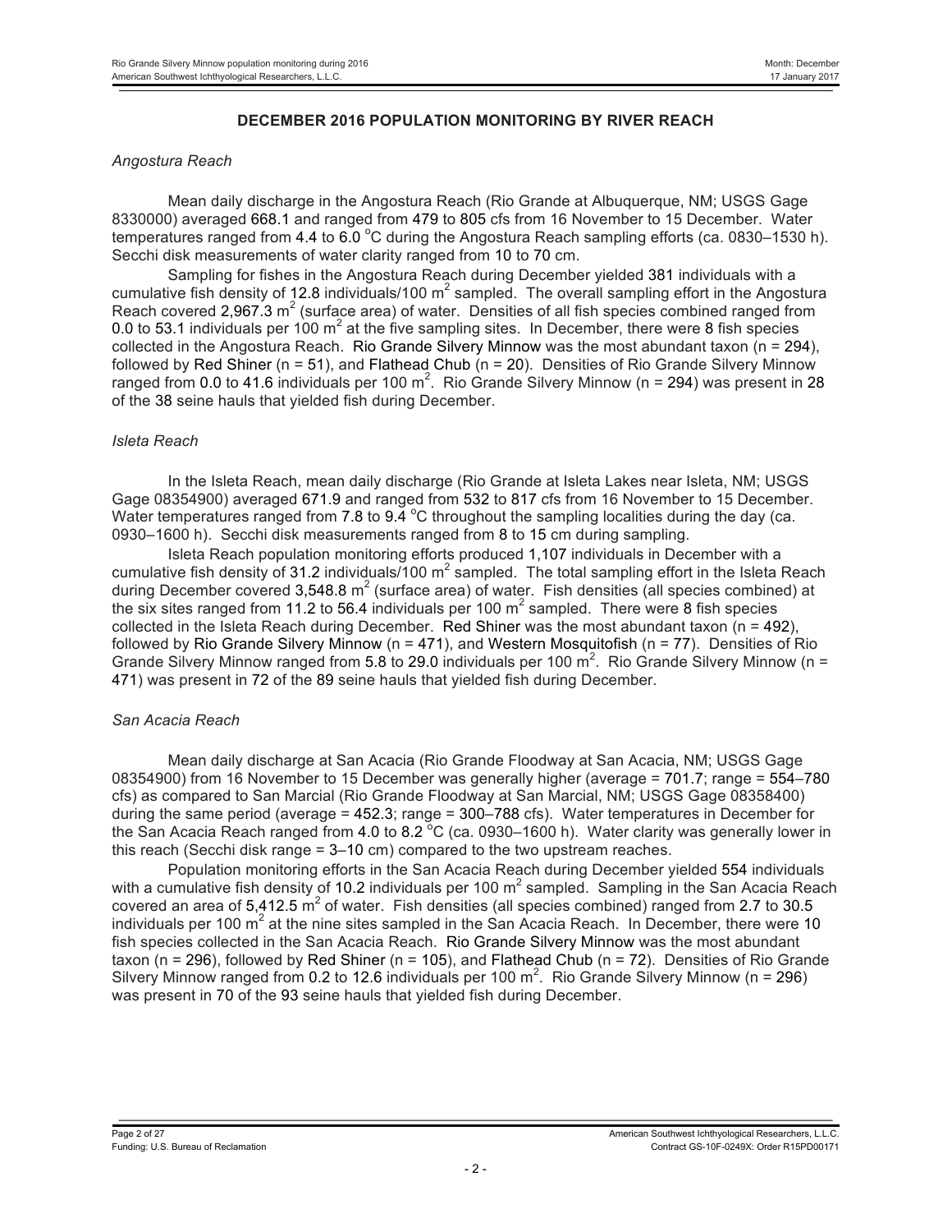## **DECEMBER 2016 POPULATION MONITORING BY RIVER REACH**

#### *Angostura Reach*

Mean daily discharge in the Angostura Reach (Rio Grande at Albuquerque, NM; USGS Gage 8330000) averaged 668.1 and ranged from 479 to 805 cfs from 16 November to 15 December. Water temperatures ranged from 4.4 to 6.0  $^{\circ}$ C during the Angostura Reach sampling efforts (ca. 0830–1530 h). Secchi disk measurements of water clarity ranged from 10 to 70 cm.

Sampling for fishes in the Angostura Reach during December yielded 381 individuals with a cumulative fish density of 12.8 individuals/100  $m^2$  sampled. The overall sampling effort in the Angostura Reach covered 2,967.3  $m^2$  (surface area) of water. Densities of all fish species combined ranged from 0.0 to 53.1 individuals per 100  $m^2$  at the five sampling sites. In December, there were 8 fish species collected in the Angostura Reach. Rio Grande Silvery Minnow was the most abundant taxon (n = 294), followed by Red Shiner ( $n = 51$ ), and Flathead Chub ( $n = 20$ ). Densities of Rio Grande Silvery Minnow ranged from 0.0 to 41.6 individuals per 100 m<sup>2</sup>. Rio Grande Silvery Minnow (n = 294) was present in 28 of the 38 seine hauls that yielded fish during December.

#### *Isleta Reach*

In the Isleta Reach, mean daily discharge (Rio Grande at Isleta Lakes near Isleta, NM; USGS Gage 08354900) averaged 671.9 and ranged from 532 to 817 cfs from 16 November to 15 December. Water temperatures ranged from 7.8 to 9.4  $^{\circ}$ C throughout the sampling localities during the day (ca. 0930–1600 h). Secchi disk measurements ranged from 8 to 15 cm during sampling.

Isleta Reach population monitoring efforts produced 1,107 individuals in December with a cumulative fish density of 31.2 individuals/100  $m^2$  sampled. The total sampling effort in the Isleta Reach during December covered 3,548.8  $m^2$  (surface area) of water. Fish densities (all species combined) at the six sites ranged from 11.2 to 56.4 individuals per 100  $m^2$  sampled. There were 8 fish species collected in the Isleta Reach during December. Red Shiner was the most abundant taxon ( $n = 492$ ), followed by Rio Grande Silvery Minnow ( $n = 471$ ), and Western Mosquitofish ( $n = 77$ ). Densities of Rio Grande Silvery Minnow ranged from 5.8 to 29.0 individuals per 100  $\text{m}^2$ . Rio Grande Silvery Minnow (n = 471) was present in 72 of the 89 seine hauls that yielded fish during December.

#### *San Acacia Reach*

Mean daily discharge at San Acacia (Rio Grande Floodway at San Acacia, NM; USGS Gage 08354900) from 16 November to 15 December was generally higher (average = 701.7; range = 554–780 cfs) as compared to San Marcial (Rio Grande Floodway at San Marcial, NM; USGS Gage 08358400) during the same period (average = 452.3; range = 300–788 cfs). Water temperatures in December for the San Acacia Reach ranged from 4.0 to 8.2  $^{\circ}$ C (ca. 0930–1600 h). Water clarity was generally lower in this reach (Secchi disk range = 3–10 cm) compared to the two upstream reaches.

Population monitoring efforts in the San Acacia Reach during December yielded 554 individuals with a cumulative fish density of 10.2 individuals per 100  $m^2$  sampled. Sampling in the San Acacia Reach covered an area of  $5,412.5$  m<sup>2</sup> of water. Fish densities (all species combined) ranged from 2.7 to 30.5 individuals per 100  $m^2$  at the nine sites sampled in the San Acacia Reach. In December, there were 10 fish species collected in the San Acacia Reach. Rio Grande Silvery Minnow was the most abundant taxon (n = 296), followed by Red Shiner (n = 105), and Flathead Chub (n = 72). Densities of Rio Grande Silvery Minnow ranged from 0.2 to 12.6 individuals per 100 m<sup>2</sup>. Rio Grande Silvery Minnow (n = 296) was present in 70 of the 93 seine hauls that yielded fish during December.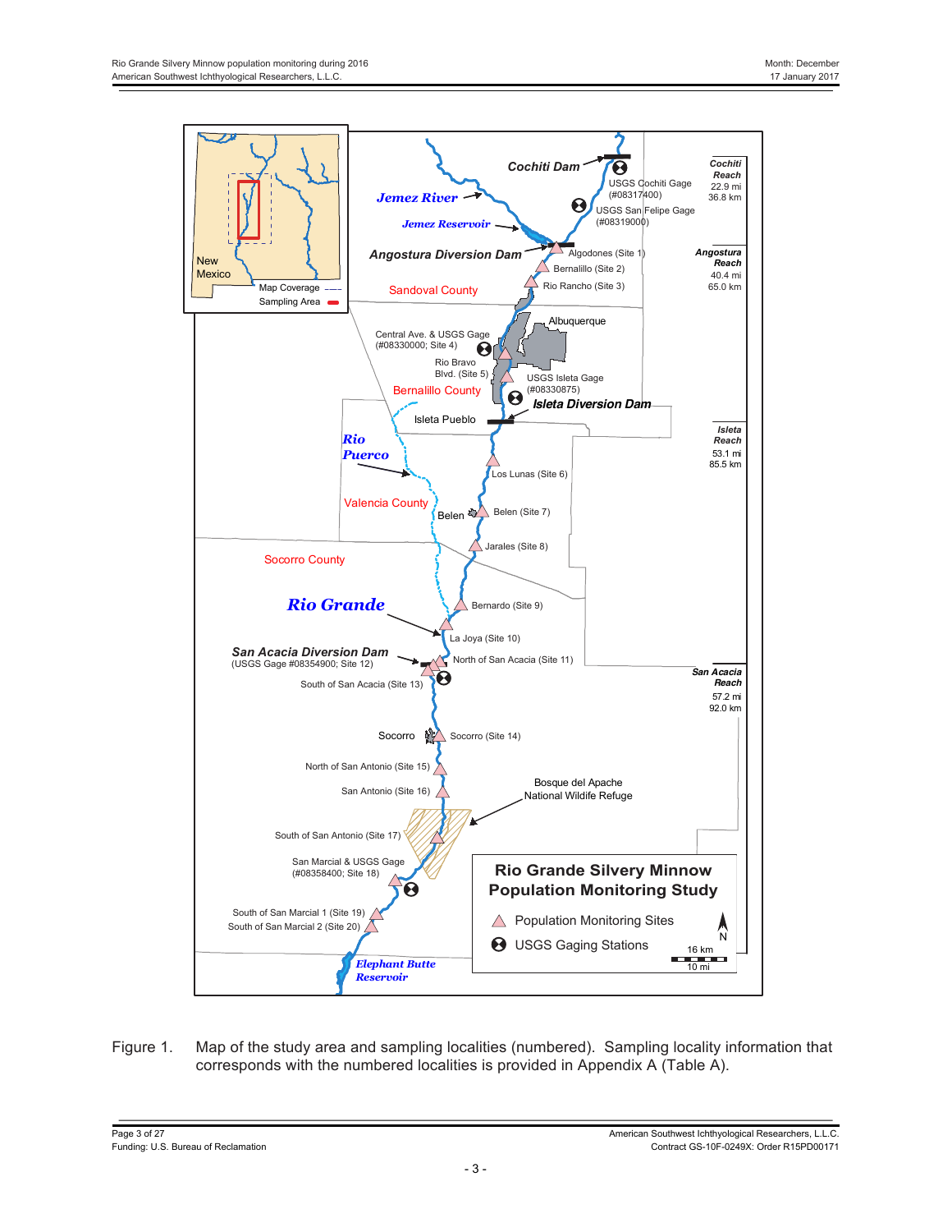

Figure 1. Map of the study area and sampling localities (numbered). Sampling locality information that corresponds with the numbered localities is provided in Appendix A (Table A).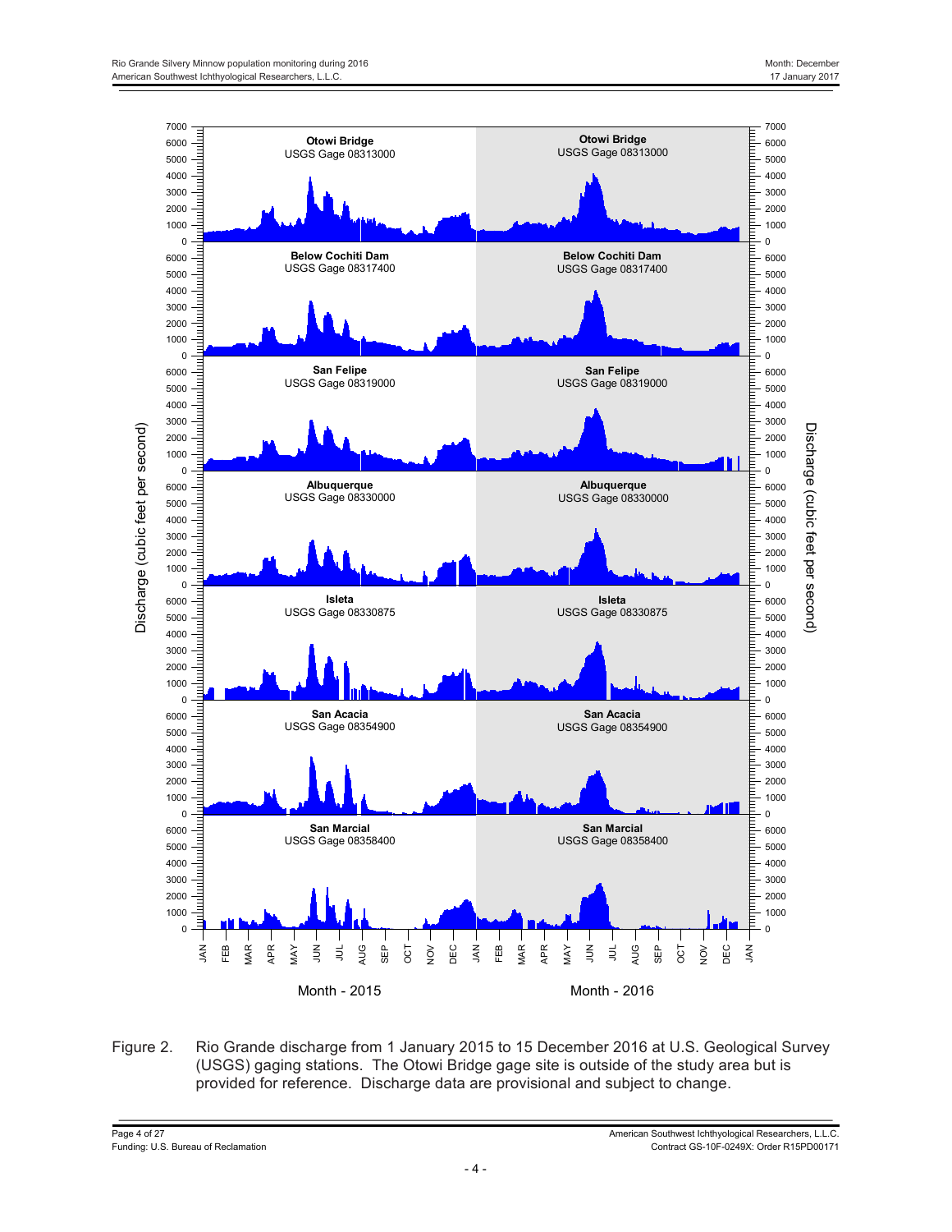

Figure 2. Rio Grande discharge from 1 January 2015 to 15 December 2016 at U.S. Geological Survey (USGS) gaging stations. The Otowi Bridge gage site is outside of the study area but is provided for reference. Discharge data are provisional and subject to change.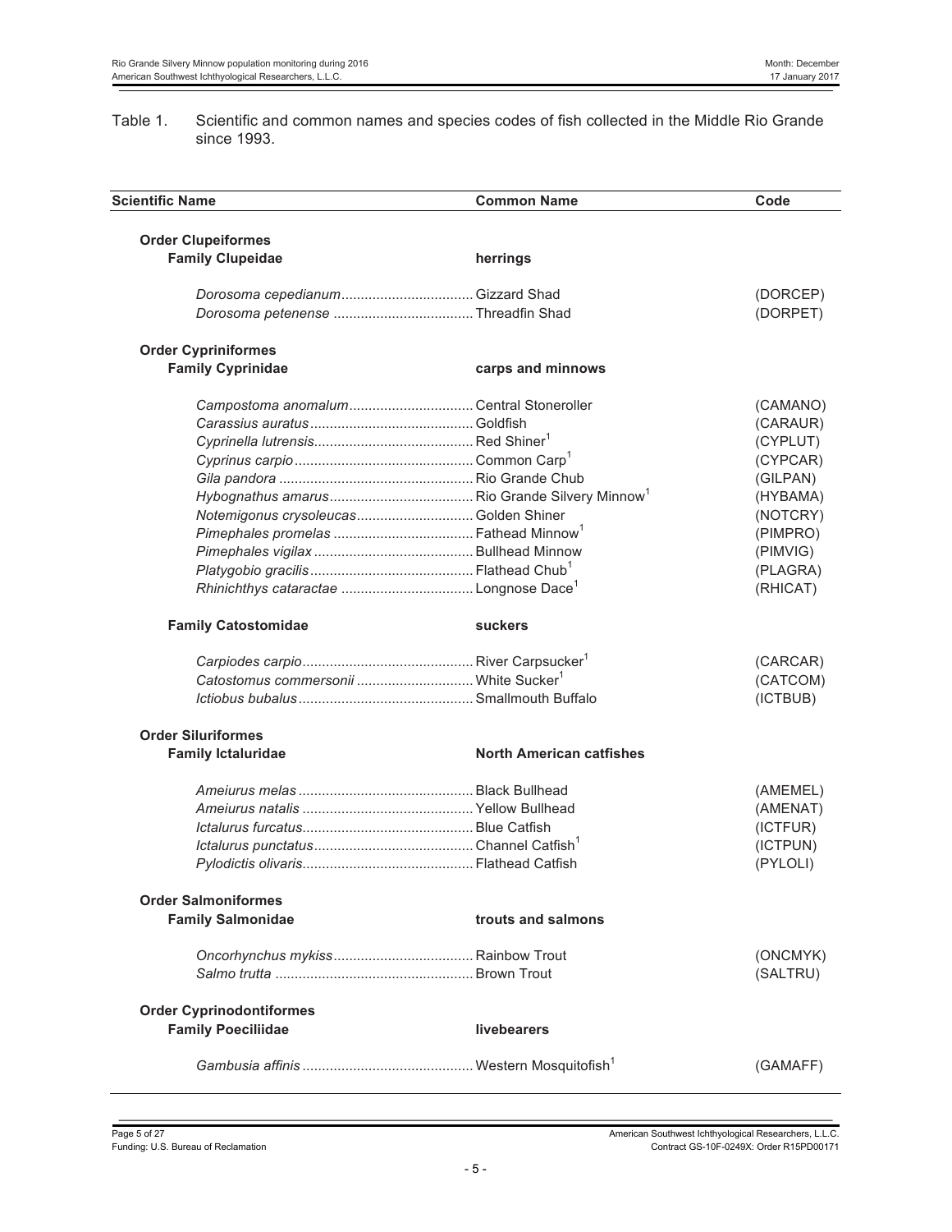#### Table 1. Scientific and common names and species codes of fish collected in the Middle Rio Grande since 1993.

| <b>Scientific Name</b>                               | <b>Common Name</b>              | Code     |
|------------------------------------------------------|---------------------------------|----------|
|                                                      |                                 |          |
| <b>Order Clupeiformes</b><br><b>Family Clupeidae</b> | herrings                        |          |
|                                                      |                                 |          |
|                                                      |                                 | (DORCEP) |
|                                                      |                                 | (DORPET) |
| <b>Order Cypriniformes</b>                           |                                 |          |
| <b>Family Cyprinidae</b>                             | carps and minnows               |          |
|                                                      |                                 |          |
|                                                      |                                 | (CAMANO) |
|                                                      |                                 | (CARAUR) |
|                                                      |                                 | (CYPLUT) |
|                                                      |                                 | (CYPCAR) |
|                                                      |                                 | (GILPAN) |
|                                                      |                                 | (HYBAMA) |
| Notemigonus crysoleucas Golden Shiner                |                                 | (NOTCRY) |
|                                                      |                                 | (PIMPRO) |
|                                                      |                                 | (PIMVIG) |
|                                                      |                                 | (PLAGRA) |
|                                                      |                                 | (RHICAT) |
| <b>Family Catostomidae</b>                           | <b>suckers</b>                  |          |
|                                                      |                                 | (CARCAR) |
| Catostomus commersonii  White Sucker <sup>1</sup>    |                                 | (CATCOM) |
|                                                      |                                 | (ICTBUB) |
| <b>Order Siluriformes</b>                            |                                 |          |
| <b>Family Ictaluridae</b>                            | <b>North American catfishes</b> |          |
|                                                      |                                 |          |
|                                                      |                                 | (AMEMEL) |
|                                                      |                                 | (AMENAT) |
|                                                      |                                 | (ICTFUR) |
|                                                      |                                 | (ICTPUN) |
|                                                      |                                 | (PYLOLI) |
| <b>Order Salmoniformes</b>                           |                                 |          |
| <b>Family Salmonidae</b>                             | trouts and salmons              |          |
|                                                      |                                 | (ONCMYK) |
|                                                      |                                 | (SALTRU) |
|                                                      |                                 |          |
| <b>Order Cyprinodontiformes</b>                      |                                 |          |
| <b>Family Poeciliidae</b>                            | livebearers                     |          |
|                                                      |                                 | (GAMAFF) |
|                                                      |                                 |          |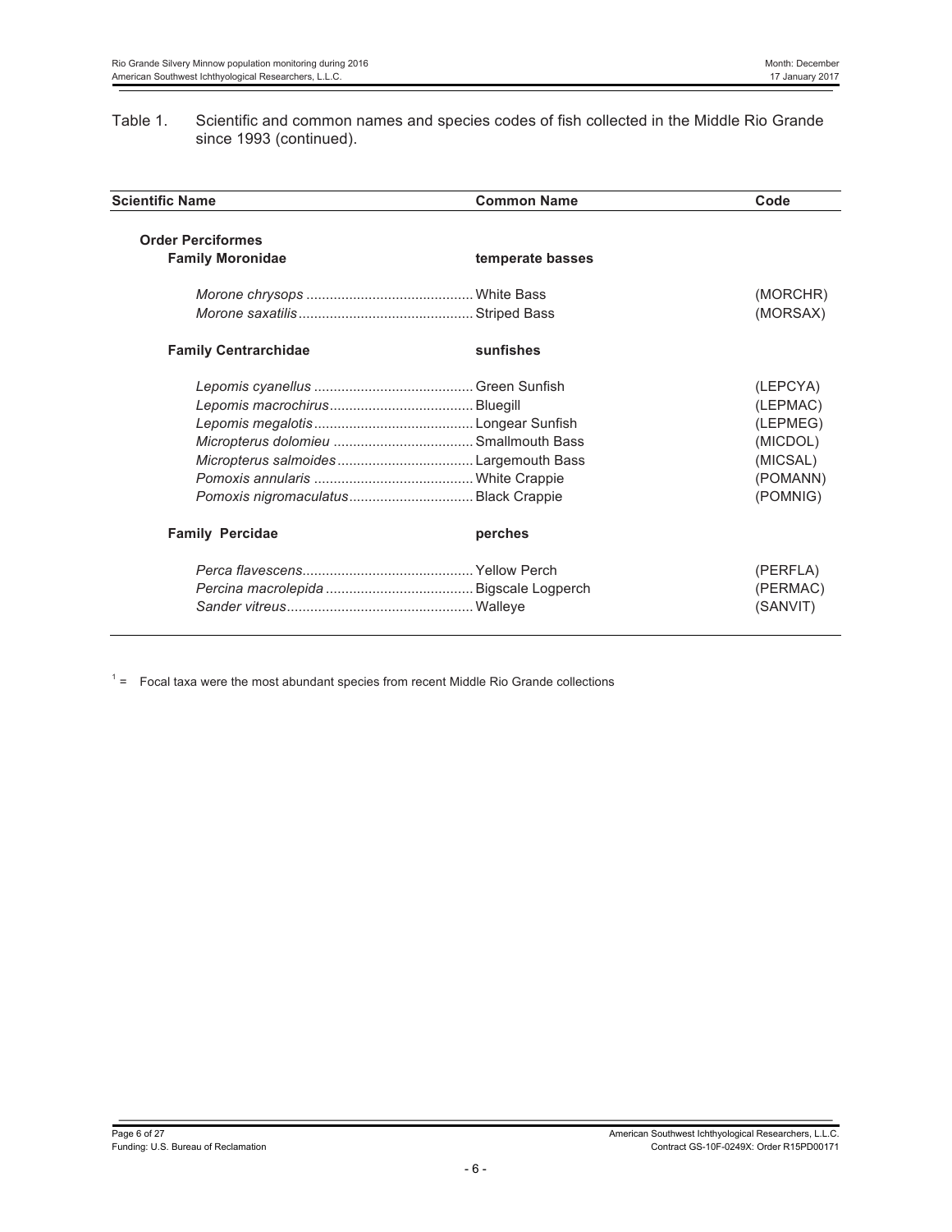Table 1. Scientific and common names and species codes of fish collected in the Middle Rio Grande since 1993 (continued).

| <b>Scientific Name</b>      | <b>Common Name</b> | Code     |
|-----------------------------|--------------------|----------|
| <b>Order Perciformes</b>    |                    |          |
| <b>Family Moronidae</b>     | temperate basses   |          |
|                             |                    | (MORCHR) |
|                             |                    | (MORSAX) |
| <b>Family Centrarchidae</b> | sunfishes          |          |
|                             |                    | (LEPCYA) |
|                             |                    | (LEPMAC) |
|                             |                    | (LEPMEG) |
|                             |                    | (MICDOL) |
|                             |                    | (MICSAL) |
|                             |                    | (POMANN) |
|                             |                    | (POMNIG) |
| <b>Family Percidae</b>      | perches            |          |
|                             |                    | (PERFLA) |
|                             |                    | (PERMAC) |
|                             |                    | (SANVIT) |

 $1 =$  Focal taxa were the most abundant species from recent Middle Rio Grande collections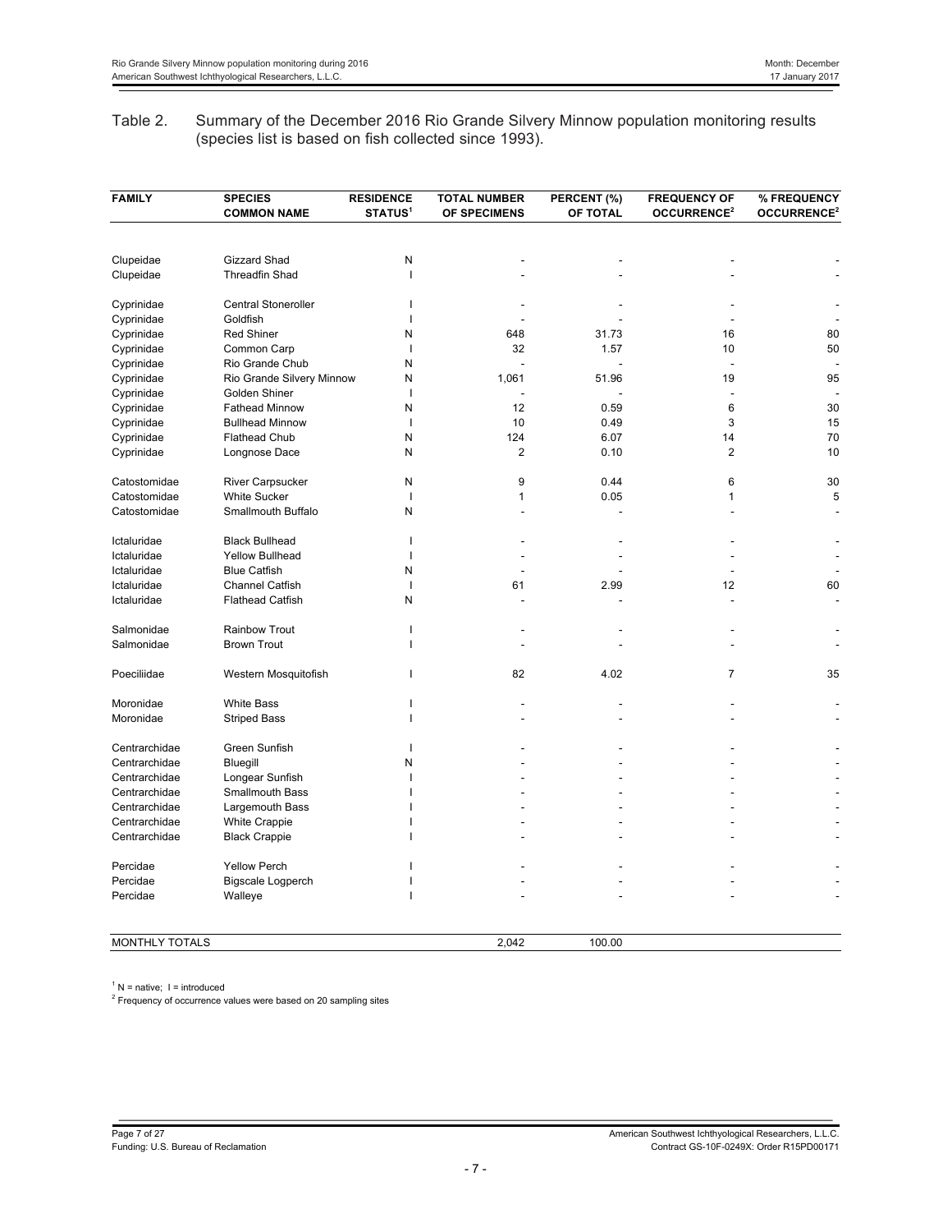## Table 2. Summary of the December 2016 Rio Grande Silvery Minnow population monitoring results (species list is based on fish collected since 1993).

| <b>FAMILY</b>         | <b>SPECIES</b><br><b>COMMON NAME</b> | <b>RESIDENCE</b><br><b>STATUS<sup>1</sup></b> | <b>TOTAL NUMBER</b><br>OF SPECIMENS | PERCENT (%)<br>OF TOTAL | <b>FREQUENCY OF</b><br>OCCURRENCE <sup>2</sup> | % FREQUENCY<br>OCCURRENCE <sup>2</sup> |
|-----------------------|--------------------------------------|-----------------------------------------------|-------------------------------------|-------------------------|------------------------------------------------|----------------------------------------|
|                       |                                      |                                               |                                     |                         |                                                |                                        |
| Clupeidae             | Gizzard Shad                         | N                                             |                                     |                         |                                                |                                        |
| Clupeidae             | <b>Threadfin Shad</b>                | $\mathbf{I}$                                  |                                     |                         |                                                |                                        |
| Cyprinidae            | <b>Central Stoneroller</b>           |                                               |                                     |                         |                                                |                                        |
| Cyprinidae            | Goldfish                             | п                                             |                                     |                         |                                                |                                        |
| Cyprinidae            | <b>Red Shiner</b>                    | N                                             | 648                                 | 31.73                   | 16                                             | 80                                     |
| Cyprinidae            | Common Carp                          | ı                                             | 32                                  | 1.57                    | 10                                             | 50                                     |
| Cyprinidae            | Rio Grande Chub                      | N                                             |                                     |                         |                                                |                                        |
| Cyprinidae            | Rio Grande Silvery Minnow            | N                                             | 1,061                               | 51.96                   | 19                                             | 95                                     |
| Cyprinidae            | Golden Shiner                        | I                                             |                                     |                         |                                                |                                        |
| Cyprinidae            | <b>Fathead Minnow</b>                | N                                             | 12                                  | 0.59                    | 6                                              | 30                                     |
| Cyprinidae            | <b>Bullhead Minnow</b>               | $\overline{1}$                                | 10                                  | 0.49                    | 3                                              | 15                                     |
| Cyprinidae            | Flathead Chub                        | N                                             | 124                                 | 6.07                    | 14                                             | 70                                     |
| Cyprinidae            | Longnose Dace                        | N                                             | $\overline{2}$                      | 0.10                    | $\overline{2}$                                 | 10                                     |
| Catostomidae          | River Carpsucker                     | N                                             | 9                                   | 0.44                    | 6                                              | 30                                     |
| Catostomidae          | <b>White Sucker</b>                  | $\overline{1}$                                | 1                                   | 0.05                    | $\mathbf{1}$                                   | 5                                      |
| Catostomidae          | Smallmouth Buffalo                   | N                                             |                                     |                         |                                                |                                        |
| Ictaluridae           | <b>Black Bullhead</b>                | ı                                             |                                     |                         |                                                |                                        |
| Ictaluridae           | <b>Yellow Bullhead</b>               | п                                             |                                     |                         |                                                |                                        |
| Ictaluridae           | <b>Blue Catfish</b>                  | N                                             |                                     |                         |                                                |                                        |
| Ictaluridae           | <b>Channel Catfish</b>               | $\overline{\phantom{a}}$                      | 61                                  | 2.99                    | 12                                             | 60                                     |
| Ictaluridae           | <b>Flathead Catfish</b>              | N                                             |                                     |                         | L.                                             |                                        |
| Salmonidae            | <b>Rainbow Trout</b>                 | ı                                             |                                     |                         |                                                |                                        |
| Salmonidae            | <b>Brown Trout</b>                   | ı                                             |                                     |                         |                                                |                                        |
| Poeciliidae           | Western Mosquitofish                 |                                               | 82                                  | 4.02                    | $\overline{7}$                                 | 35                                     |
| Moronidae             | <b>White Bass</b>                    |                                               |                                     |                         |                                                |                                        |
| Moronidae             | <b>Striped Bass</b>                  | $\mathbf{I}$                                  |                                     |                         |                                                |                                        |
| Centrarchidae         | Green Sunfish                        | п                                             |                                     |                         |                                                |                                        |
| Centrarchidae         | Bluegill                             | N                                             |                                     |                         |                                                |                                        |
| Centrarchidae         | Longear Sunfish                      | I                                             |                                     |                         |                                                |                                        |
| Centrarchidae         | Smallmouth Bass                      |                                               |                                     |                         |                                                |                                        |
| Centrarchidae         | Largemouth Bass                      |                                               |                                     |                         |                                                |                                        |
| Centrarchidae         | White Crappie                        |                                               |                                     |                         |                                                |                                        |
| Centrarchidae         | <b>Black Crappie</b>                 |                                               |                                     |                         |                                                |                                        |
| Percidae              | <b>Yellow Perch</b>                  |                                               |                                     |                         |                                                |                                        |
| Percidae              | Bigscale Logperch                    |                                               |                                     |                         |                                                |                                        |
| Percidae              | Walleye                              |                                               |                                     |                         |                                                |                                        |
| <b>MONTHLY TOTALS</b> |                                      |                                               | 2.042                               | 100.00                  |                                                |                                        |

 $1$  N = native;  $1$  = introduced

<sup>2</sup> Frequency of occurrence values were based on 20 sampling sites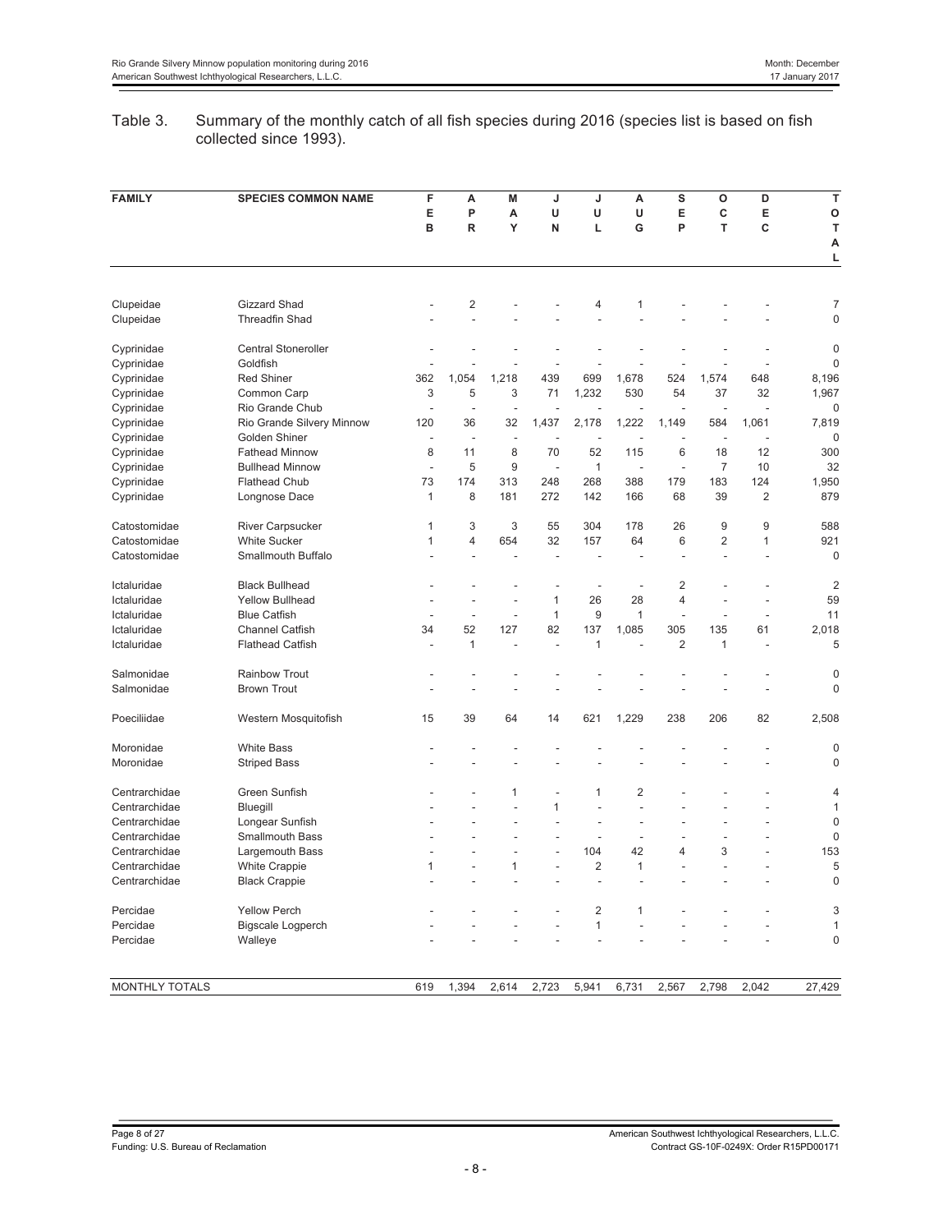## Table 3. Summary of the monthly catch of all fish species during 2016 (species list is based on fish collected since 1993).

| <b>FAMILY</b>  | <b>SPECIES COMMON NAME</b> | F<br>E<br>в  | A<br>P<br>R | M<br>А<br>Y | J<br>U<br>N | J<br>U<br>L    | A<br>U<br>G    | S<br>Е<br>P             | O<br>C<br>T    | D<br>E<br>C    | T<br>O<br>T<br>A<br>L |
|----------------|----------------------------|--------------|-------------|-------------|-------------|----------------|----------------|-------------------------|----------------|----------------|-----------------------|
|                |                            |              |             |             |             |                |                |                         |                |                |                       |
| Clupeidae      | Gizzard Shad               |              | 2           |             |             | 4              | 1              |                         |                |                | 7                     |
| Clupeidae      | <b>Threadfin Shad</b>      |              | Ĭ.          |             |             |                |                |                         |                |                | $\overline{0}$        |
| Cyprinidae     | Central Stoneroller        |              |             |             |             |                |                |                         |                |                | $\mathbf 0$           |
| Cyprinidae     | Goldfish                   |              |             |             |             |                |                |                         |                |                | $\overline{0}$        |
| Cyprinidae     | <b>Red Shiner</b>          | 362          | 1,054       | 1,218       | 439         | 699            | 1,678          | 524                     | 1,574          | 648            | 8,196                 |
| Cyprinidae     | Common Carp                | 3            | 5           | 3           | 71          | 1,232          | 530            | 54                      | 37             | 32             | 1,967                 |
| Cyprinidae     | Rio Grande Chub            |              | ÷,          | ÷           |             |                |                | ä,                      | ÷.             | L.             | $\mathbf 0$           |
| Cyprinidae     | Rio Grande Silvery Minnow  | 120          | 36          | 32          | 1,437       | 2,178          | 1,222          | 1,149                   | 584            | 1,061          | 7,819                 |
| Cyprinidae     | Golden Shiner              |              | J.          | ÷.          |             |                |                |                         |                |                | $\mathbf 0$           |
| Cyprinidae     | <b>Fathead Minnow</b>      | 8            | 11          | 8           | 70          | 52             | 115            | 6                       | 18             | 12             | 300                   |
| Cyprinidae     | <b>Bullhead Minnow</b>     | J.           | 5           | 9           | J.          | 1              | L,             | L,                      | $\overline{7}$ | 10             | 32                    |
| Cyprinidae     | <b>Flathead Chub</b>       | 73           | 174         | 313         | 248         | 268            | 388            | 179                     | 183            | 124            | 1,950                 |
| Cyprinidae     | Longnose Dace              | $\mathbf{1}$ | 8           | 181         | 272         | 142            | 166            | 68                      | 39             | $\overline{2}$ | 879                   |
| Catostomidae   | River Carpsucker           | $\mathbf{1}$ | 3           | 3           | 55          | 304            | 178            | 26                      | 9              | 9              | 588                   |
| Catostomidae   | <b>White Sucker</b>        | 1            | 4           | 654         | 32          | 157            | 64             | 6                       | 2              | 1              | 921                   |
| Catostomidae   | Smallmouth Buffalo         |              |             |             | l,          |                |                |                         |                |                | $\mathbf 0$           |
| Ictaluridae    | <b>Black Bullhead</b>      |              |             |             |             |                | L,             | $\overline{2}$          |                |                | $\overline{2}$        |
| Ictaluridae    | <b>Yellow Bullhead</b>     | J.           | L,          | L,          | 1           | 26             | 28             | $\overline{4}$          |                | L,             | 59                    |
| Ictaluridae    | <b>Blue Catfish</b>        |              | ÷,          | L,          | 1           | 9              | $\mathbf{1}$   | L,                      |                | L,             | 11                    |
| Ictaluridae    | <b>Channel Catfish</b>     | 34           | 52          | 127         | 82          | 137            | 1,085          | 305                     | 135            | 61             | 2,018                 |
| Ictaluridae    | <b>Flathead Catfish</b>    |              | 1           |             | Ĭ.          | 1              |                | $\overline{2}$          | 1              | L,             | 5                     |
|                |                            |              |             |             |             |                |                |                         |                |                |                       |
| Salmonidae     | <b>Rainbow Trout</b>       |              |             |             |             |                |                |                         |                |                | 0                     |
| Salmonidae     | <b>Brown Trout</b>         |              |             |             |             |                |                |                         |                |                | $\mathbf 0$           |
| Poeciliidae    | Western Mosquitofish       | 15           | 39          | 64          | 14          | 621            | 1,229          | 238                     | 206            | 82             | 2,508                 |
| Moronidae      | <b>White Bass</b>          |              |             |             |             |                |                |                         |                |                | $\overline{0}$        |
| Moronidae      | <b>Striped Bass</b>        |              |             |             |             |                |                |                         |                |                | $\mathbf 0$           |
| Centrarchidae  | Green Sunfish              |              |             | 1           | Ĭ.          | 1              | $\overline{2}$ |                         |                |                | 4                     |
| Centrarchidae  | Bluegill                   |              |             |             | 1           | L.             | J.             |                         |                |                | 1                     |
| Centrarchidae  | Longear Sunfish            |              |             |             |             | L,             | Ĭ.             |                         |                |                | $\mathbf 0$           |
| Centrarchidae  | Smallmouth Bass            |              |             | L.          | L.          | ÷              | L.             | ÷.                      |                | ÷              | $\mathbf 0$           |
| Centrarchidae  | Largemouth Bass            |              |             | L,          |             | 104            | 42             | $\overline{\mathbf{4}}$ | 3              |                | 153                   |
| Centrarchidae  | <b>White Crappie</b>       | 1            | L,          | 1           | L,          | 2              | 1              |                         |                |                | 5                     |
| Centrarchidae  | <b>Black Crappie</b>       |              |             |             |             | Ĭ.             |                |                         |                |                | $\overline{0}$        |
| Percidae       | <b>Yellow Perch</b>        |              |             |             |             | $\overline{c}$ | 1              |                         |                |                | 3                     |
| Percidae       | Bigscale Logperch          |              |             |             |             | $\mathbf{1}$   |                |                         |                |                | 1                     |
| Percidae       | Walleye                    |              |             |             |             |                |                |                         |                |                | $\overline{0}$        |
|                |                            |              |             |             |             |                |                |                         |                |                |                       |
| MONTHLY TOTALS |                            | 619          | 1,394       | 2,614       | 2,723       | 5,941          | 6,731          | 2,567                   | 2,798          | 2.042          | 27,429                |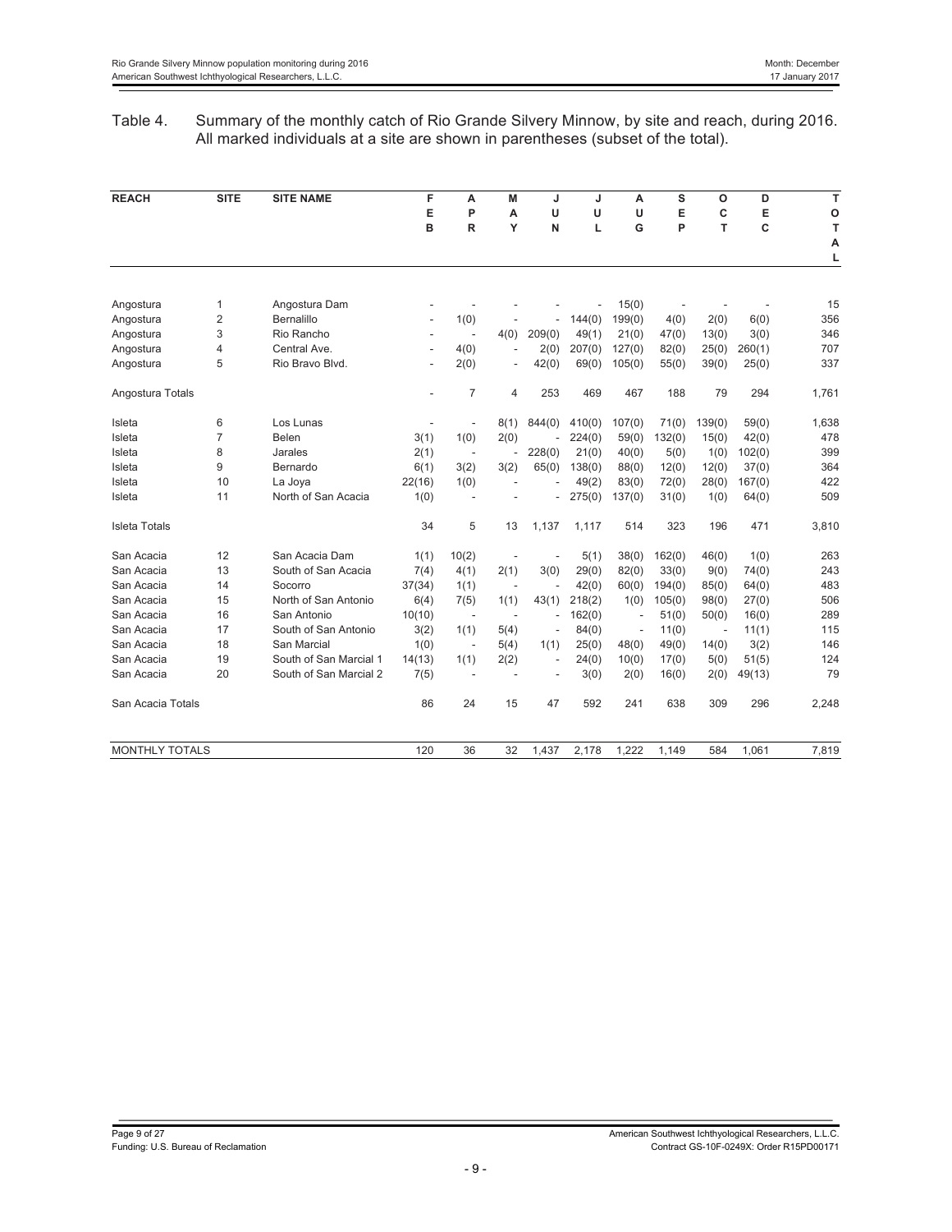## Table 4. Summary of the monthly catch of Rio Grande Silvery Minnow, by site and reach, during 2016. All marked individuals at a site are shown in parentheses (subset of the total).

| <b>REACH</b>         | <b>SITE</b>    | <b>SITE NAME</b>       | F                        | A                        | М                        | J                        | J      | А                        | S      | $\circ$                  | D      | T     |
|----------------------|----------------|------------------------|--------------------------|--------------------------|--------------------------|--------------------------|--------|--------------------------|--------|--------------------------|--------|-------|
|                      |                |                        | E                        | P                        | A                        | U                        | U      | U                        | E      | C                        | E      | O     |
|                      |                |                        | B                        | R                        | Y                        | N                        | L      | G                        | P      | T                        | C      | T     |
|                      |                |                        |                          |                          |                          |                          |        |                          |        |                          |        | A     |
|                      |                |                        |                          |                          |                          |                          |        |                          |        |                          |        | L     |
|                      |                |                        |                          |                          |                          |                          |        |                          |        |                          |        |       |
| Angostura            | 1              | Angostura Dam          |                          |                          |                          |                          |        | 15(0)                    |        |                          |        | 15    |
| Angostura            | 2              | Bernalillo             | $\overline{\phantom{a}}$ | 1(0)                     |                          | ä,                       | 144(0) | 199(0)                   | 4(0)   | 2(0)                     | 6(0)   | 356   |
| Angostura            | 3              | Rio Rancho             | ٠                        | $\overline{a}$           | 4(0)                     | 209(0)                   | 49(1)  | 21(0)                    | 47(0)  | 13(0)                    | 3(0)   | 346   |
| Angostura            | 4              | Central Ave.           | $\overline{\phantom{a}}$ | 4(0)                     | ÷,                       | 2(0)                     | 207(0) | 127(0)                   | 82(0)  | 25(0)                    | 260(1) | 707   |
| Angostura            | 5              | Rio Bravo Blvd.        | $\overline{\phantom{a}}$ | 2(0)                     | $\overline{a}$           | 42(0)                    | 69(0)  | 105(0)                   | 55(0)  | 39(0)                    | 25(0)  | 337   |
| Angostura Totals     |                |                        |                          | $\overline{7}$           | 4                        | 253                      | 469    | 467                      | 188    | 79                       | 294    | 1,761 |
| Isleta               | 6              | Los Lunas              |                          | $\overline{a}$           | 8(1)                     | 844(0)                   | 410(0) | 107(0)                   | 71(0)  | 139(0)                   | 59(0)  | 1,638 |
| Isleta               | $\overline{7}$ | Belen                  | 3(1)                     | 1(0)                     | 2(0)                     |                          | 224(0) | 59(0)                    | 132(0) | 15(0)                    | 42(0)  | 478   |
| Isleta               | 8              | Jarales                | 2(1)                     | $\overline{\phantom{a}}$ | ÷,                       | 228(0)                   | 21(0)  | 40(0)                    | 5(0)   | 1(0)                     | 102(0) | 399   |
| Isleta               | 9              | Bernardo               | 6(1)                     | 3(2)                     | 3(2)                     | 65(0)                    | 138(0) | 88(0)                    | 12(0)  | 12(0)                    | 37(0)  | 364   |
| Isleta               | 10             | La Joya                | 22(16)                   | 1(0)                     |                          |                          | 49(2)  | 83(0)                    | 72(0)  | 28(0)                    | 167(0) | 422   |
| Isleta               | 11             | North of San Acacia    | 1(0)                     | L,                       |                          |                          | 275(0) | 137(0)                   | 31(0)  | 1(0)                     | 64(0)  | 509   |
| <b>Isleta Totals</b> |                |                        | 34                       | 5                        | 13                       | 1,137                    | 1,117  | 514                      | 323    | 196                      | 471    | 3,810 |
| San Acacia           | 12             | San Acacia Dam         | 1(1)                     | 10(2)                    |                          |                          | 5(1)   | 38(0)                    | 162(0) | 46(0)                    | 1(0)   | 263   |
| San Acacia           | 13             | South of San Acacia    | 7(4)                     | 4(1)                     | 2(1)                     | 3(0)                     | 29(0)  | 82(0)                    | 33(0)  | 9(0)                     | 74(0)  | 243   |
| San Acacia           | 14             | Socorro                | 37(34)                   | 1(1)                     | $\overline{\phantom{a}}$ |                          | 42(0)  | 60(0)                    | 194(0) | 85(0)                    | 64(0)  | 483   |
| San Acacia           | 15             | North of San Antonio   | 6(4)                     | 7(5)                     | 1(1)                     | 43(1)                    | 218(2) | 1(0)                     | 105(0) | 98(0)                    | 27(0)  | 506   |
| San Acacia           | 16             | San Antonio            | 10(10)                   | $\overline{\phantom{a}}$ | $\overline{\phantom{a}}$ | $\overline{a}$           | 162(0) |                          | 51(0)  | 50(0)                    | 16(0)  | 289   |
| San Acacia           | 17             | South of San Antonio   | 3(2)                     | 1(1)                     | 5(4)                     | $\overline{\phantom{a}}$ | 84(0)  | $\overline{\phantom{a}}$ | 11(0)  | $\overline{\phantom{a}}$ | 11(1)  | 115   |
| San Acacia           | 18             | San Marcial            | 1(0)                     | $\overline{\phantom{a}}$ | 5(4)                     | 1(1)                     | 25(0)  | 48(0)                    | 49(0)  | 14(0)                    | 3(2)   | 146   |
| San Acacia           | 19             | South of San Marcial 1 | 14(13)                   | 1(1)                     | 2(2)                     | $\overline{\phantom{a}}$ | 24(0)  | 10(0)                    | 17(0)  | 5(0)                     | 51(5)  | 124   |
| San Acacia           | 20             | South of San Marcial 2 | 7(5)                     | L,                       |                          |                          | 3(0)   | 2(0)                     | 16(0)  | 2(0)                     | 49(13) | 79    |
| San Acacia Totals    |                |                        | 86                       | 24                       | 15                       | 47                       | 592    | 241                      | 638    | 309                      | 296    | 2,248 |
| MONTHLY TOTALS       |                |                        | 120                      | 36                       | 32                       | 1,437                    | 2,178  | 1,222                    | 1,149  | 584                      | 1,061  | 7,819 |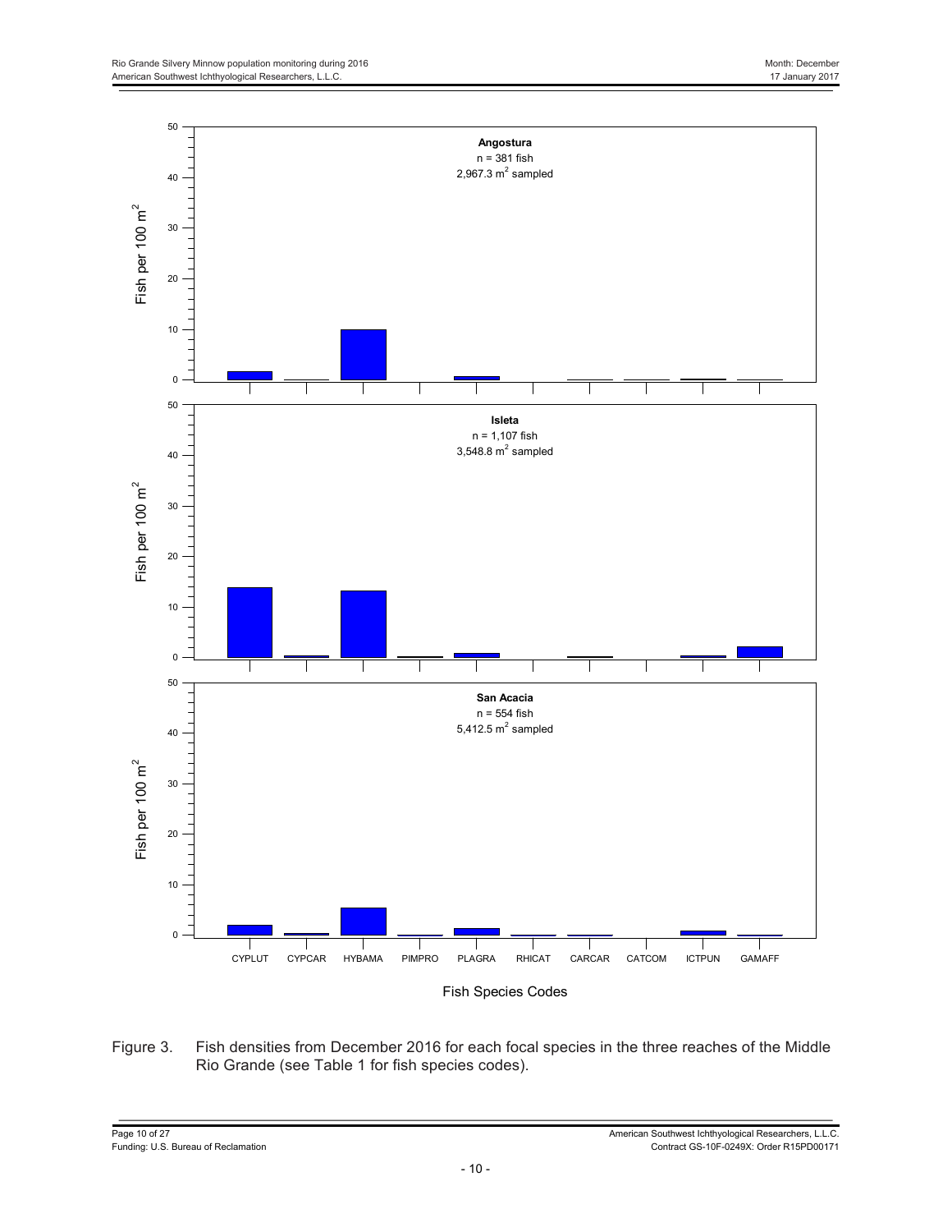

Figure 3. Fish densities from December 2016 for each focal species in the three reaches of the Middle Rio Grande (see Table 1 for fish species codes).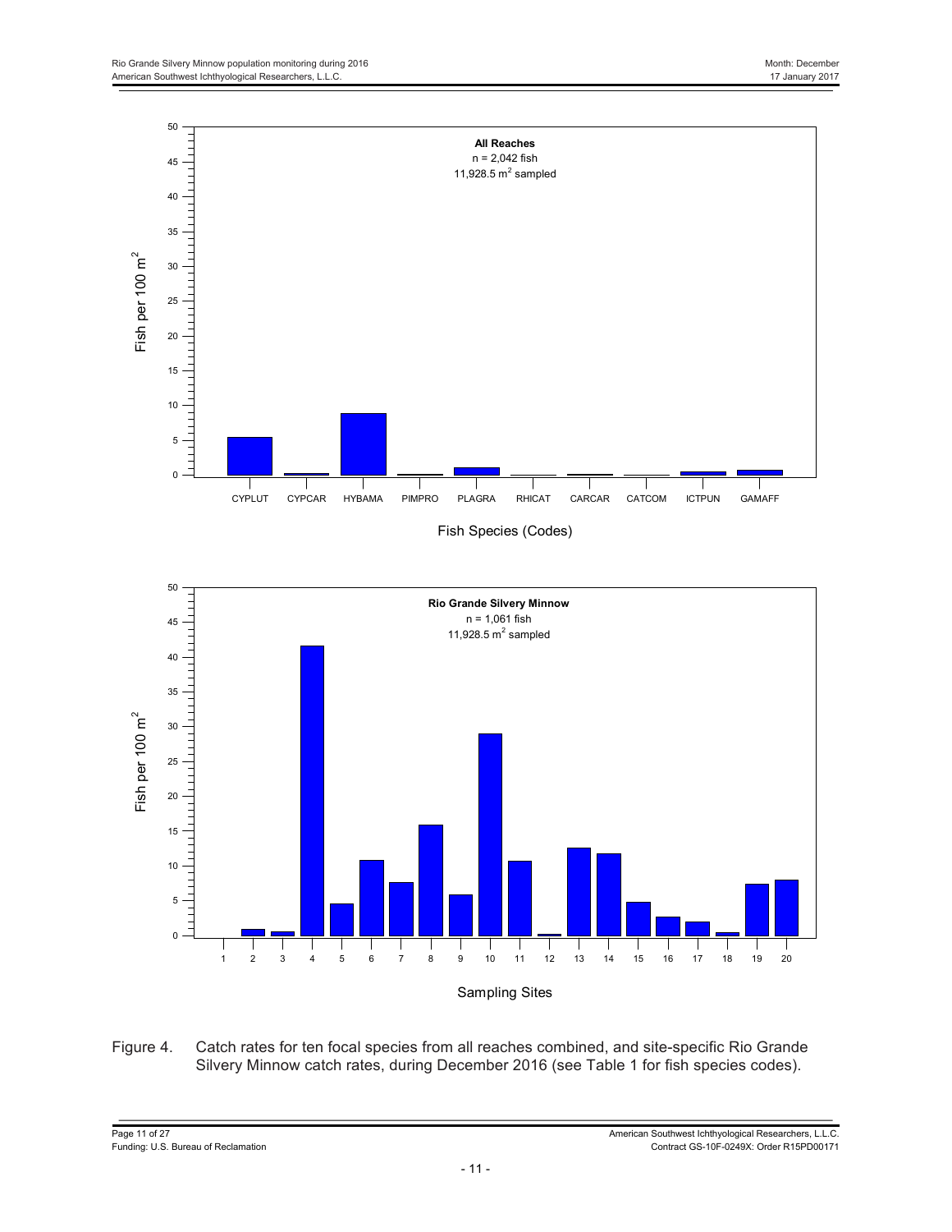

Figure 4. Catch rates for ten focal species from all reaches combined, and site-specific Rio Grande Silvery Minnow catch rates, during December 2016 (see Table 1 for fish species codes).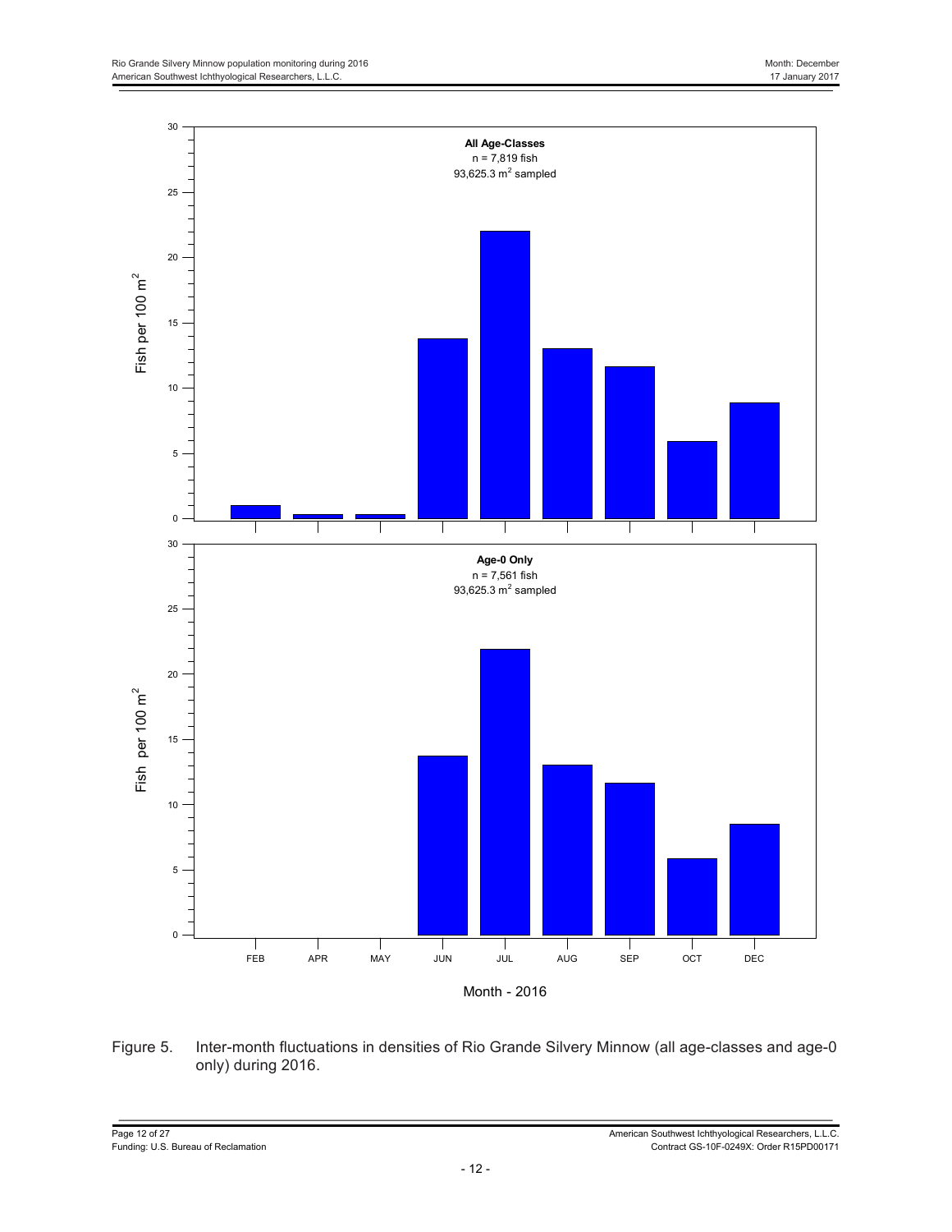

Figure 5. Inter-month fluctuations in densities of Rio Grande Silvery Minnow (all age-classes and age-0 only) during 2016.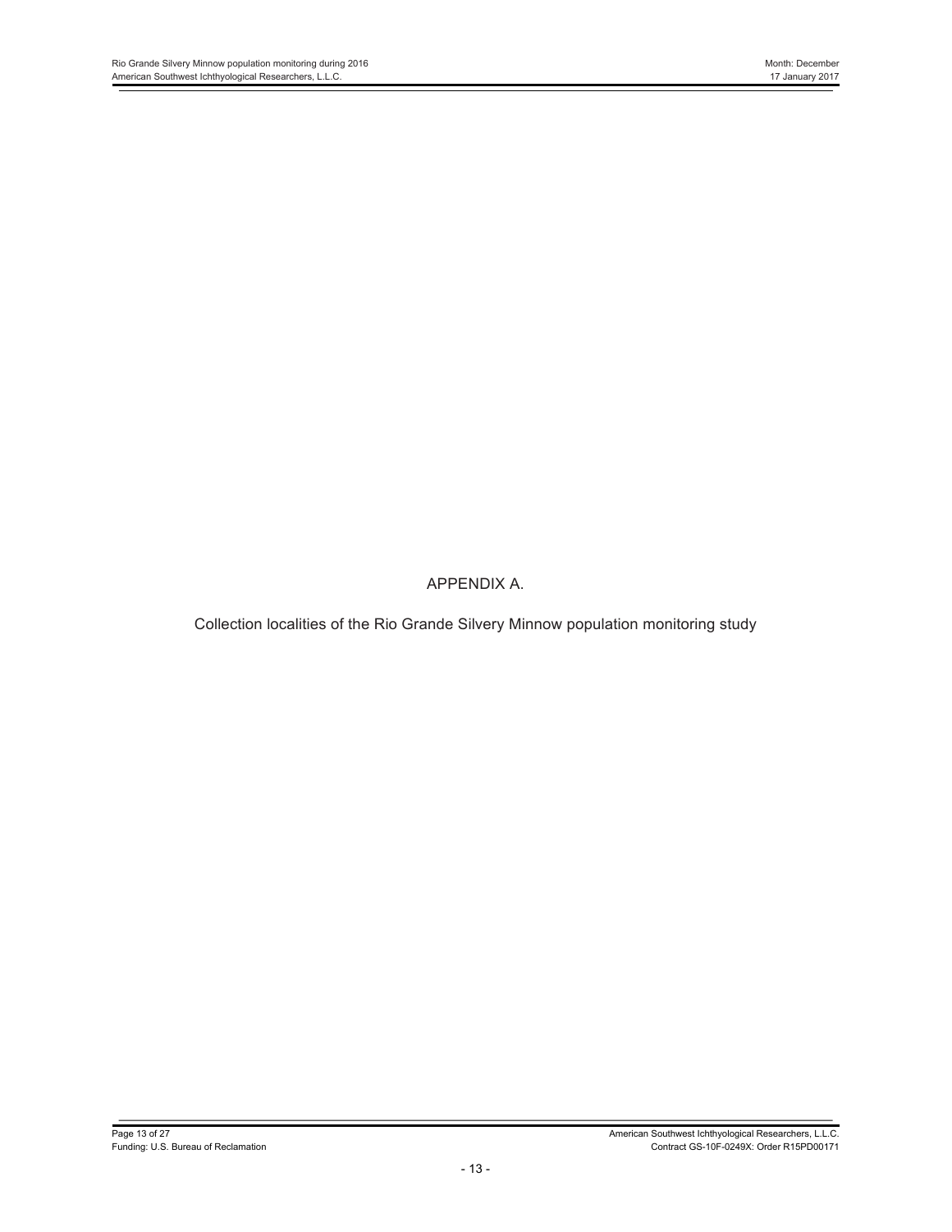APPENDIX A.

Collection localities of the Rio Grande Silvery Minnow population monitoring study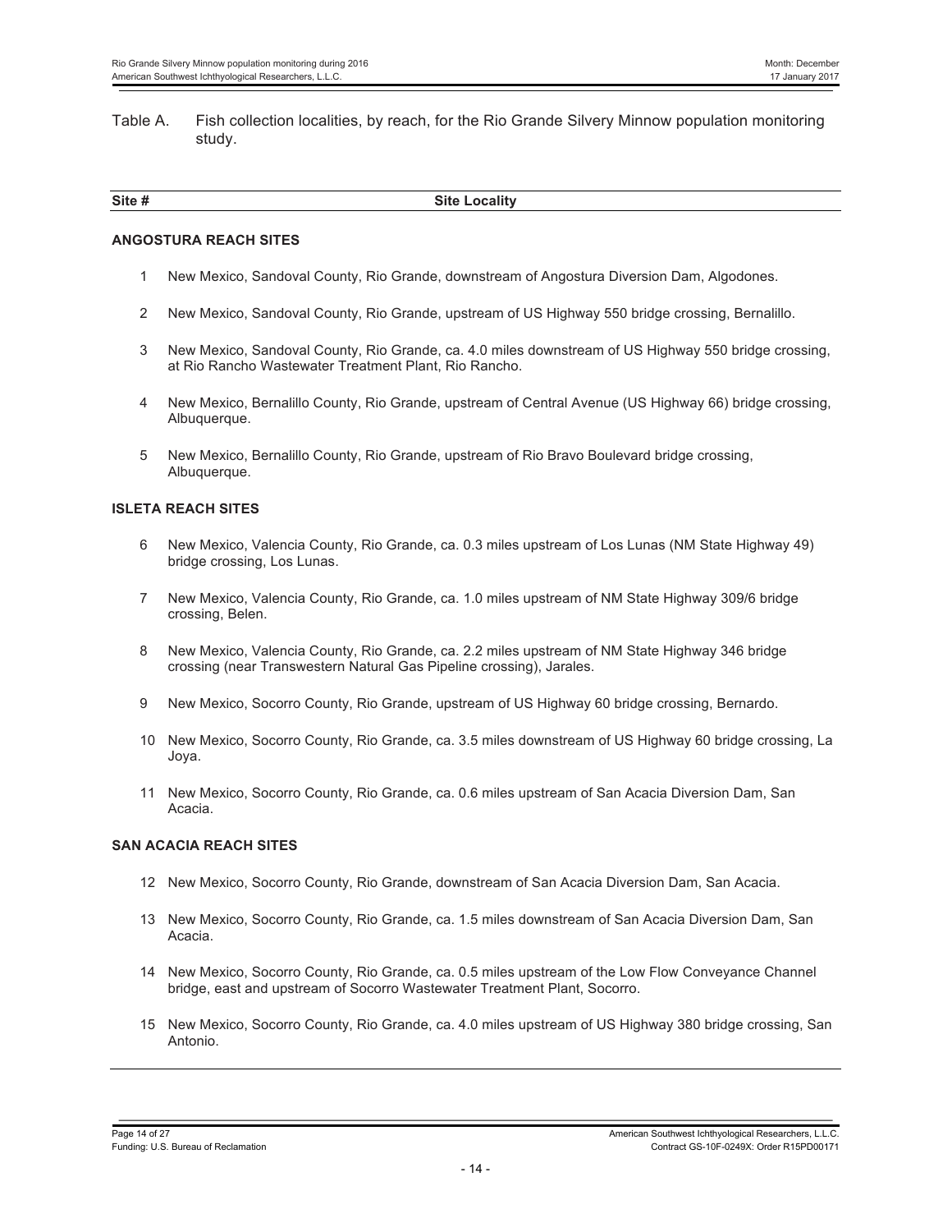Table A. Fish collection localities, by reach, for the Rio Grande Silvery Minnow population monitoring study.

| Site #<br>₹it<br>ан<br>$-0.00 - 0.000 - 0.0000 - 0.0000 - 0.0000 - 0.0000 - 0.0000 - 0.0000 - 0.0000 - 0.0000 - 0.0000 - 0.0000 - 0.0000 - 0.0000 - 0.0000 - 0.0000 - 0.0000 - 0.0000 - 0.0000 - 0.0000 - 0.0000 - 0.0000 - 0.0000 - 0.0000 - 0.0000 - 0.0000 - 0.0000 - 0.0000$ |  |
|----------------------------------------------------------------------------------------------------------------------------------------------------------------------------------------------------------------------------------------------------------------------------------|--|
|                                                                                                                                                                                                                                                                                  |  |

#### **ANGOSTURA REACH SITES**

- 1 New Mexico, Sandoval County, Rio Grande, downstream of Angostura Diversion Dam, Algodones.
- 2 New Mexico, Sandoval County, Rio Grande, upstream of US Highway 550 bridge crossing, Bernalillo.
- 3 New Mexico, Sandoval County, Rio Grande, ca. 4.0 miles downstream of US Highway 550 bridge crossing, at Rio Rancho Wastewater Treatment Plant, Rio Rancho.
- 4 New Mexico, Bernalillo County, Rio Grande, upstream of Central Avenue (US Highway 66) bridge crossing, Albuquerque.
- 5 New Mexico, Bernalillo County, Rio Grande, upstream of Rio Bravo Boulevard bridge crossing, Albuquerque.

#### **ISLETA REACH SITES**

- 6 New Mexico, Valencia County, Rio Grande, ca. 0.3 miles upstream of Los Lunas (NM State Highway 49) bridge crossing, Los Lunas.
- 7 New Mexico, Valencia County, Rio Grande, ca. 1.0 miles upstream of NM State Highway 309/6 bridge crossing, Belen.
- 8 New Mexico, Valencia County, Rio Grande, ca. 2.2 miles upstream of NM State Highway 346 bridge crossing (near Transwestern Natural Gas Pipeline crossing), Jarales.
- 9 New Mexico, Socorro County, Rio Grande, upstream of US Highway 60 bridge crossing, Bernardo.
- 10 New Mexico, Socorro County, Rio Grande, ca. 3.5 miles downstream of US Highway 60 bridge crossing, La Joya.
- 11 New Mexico, Socorro County, Rio Grande, ca. 0.6 miles upstream of San Acacia Diversion Dam, San Acacia.

#### **SAN ACACIA REACH SITES**

- 12 New Mexico, Socorro County, Rio Grande, downstream of San Acacia Diversion Dam, San Acacia.
- 13 New Mexico, Socorro County, Rio Grande, ca. 1.5 miles downstream of San Acacia Diversion Dam, San Acacia.
- 14 New Mexico, Socorro County, Rio Grande, ca. 0.5 miles upstream of the Low Flow Conveyance Channel bridge, east and upstream of Socorro Wastewater Treatment Plant, Socorro.
- 15 New Mexico, Socorro County, Rio Grande, ca. 4.0 miles upstream of US Highway 380 bridge crossing, San Antonio.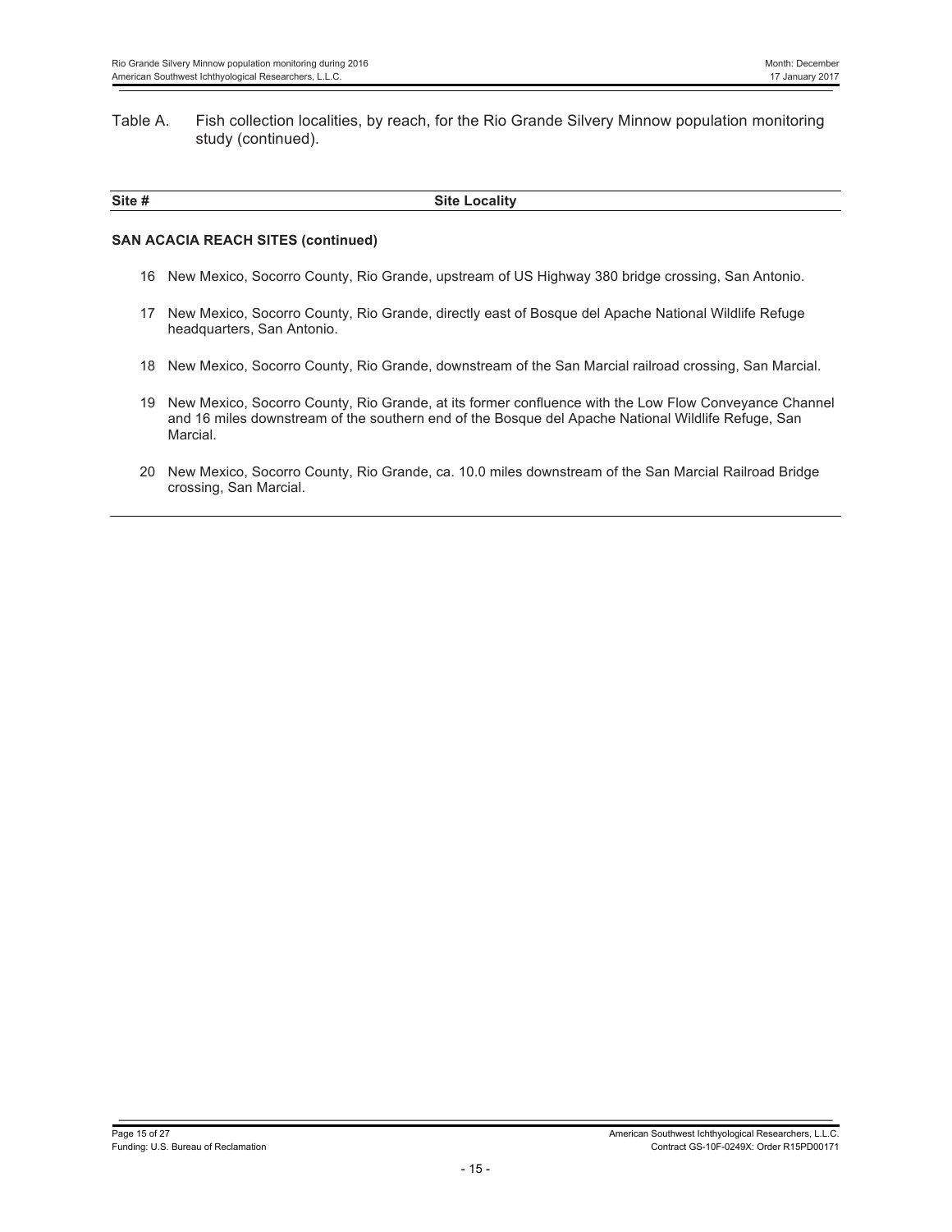#### Table A. Fish collection localities, by reach, for the Rio Grande Silvery Minnow population monitoring study (continued).

| Site #<br>Locality<br><b>Site</b><br>$-0.00 - 0.00$ |  |
|-----------------------------------------------------|--|

#### **SAN ACACIA REACH SITES (continued)**

- 16 New Mexico, Socorro County, Rio Grande, upstream of US Highway 380 bridge crossing, San Antonio.
- 17 New Mexico, Socorro County, Rio Grande, directly east of Bosque del Apache National Wildlife Refuge headquarters, San Antonio.
- 18 New Mexico, Socorro County, Rio Grande, downstream of the San Marcial railroad crossing, San Marcial.
- 19 New Mexico, Socorro County, Rio Grande, at its former confluence with the Low Flow Conveyance Channel and 16 miles downstream of the southern end of the Bosque del Apache National Wildlife Refuge, San Marcial.
- 20 New Mexico, Socorro County, Rio Grande, ca. 10.0 miles downstream of the San Marcial Railroad Bridge crossing, San Marcial.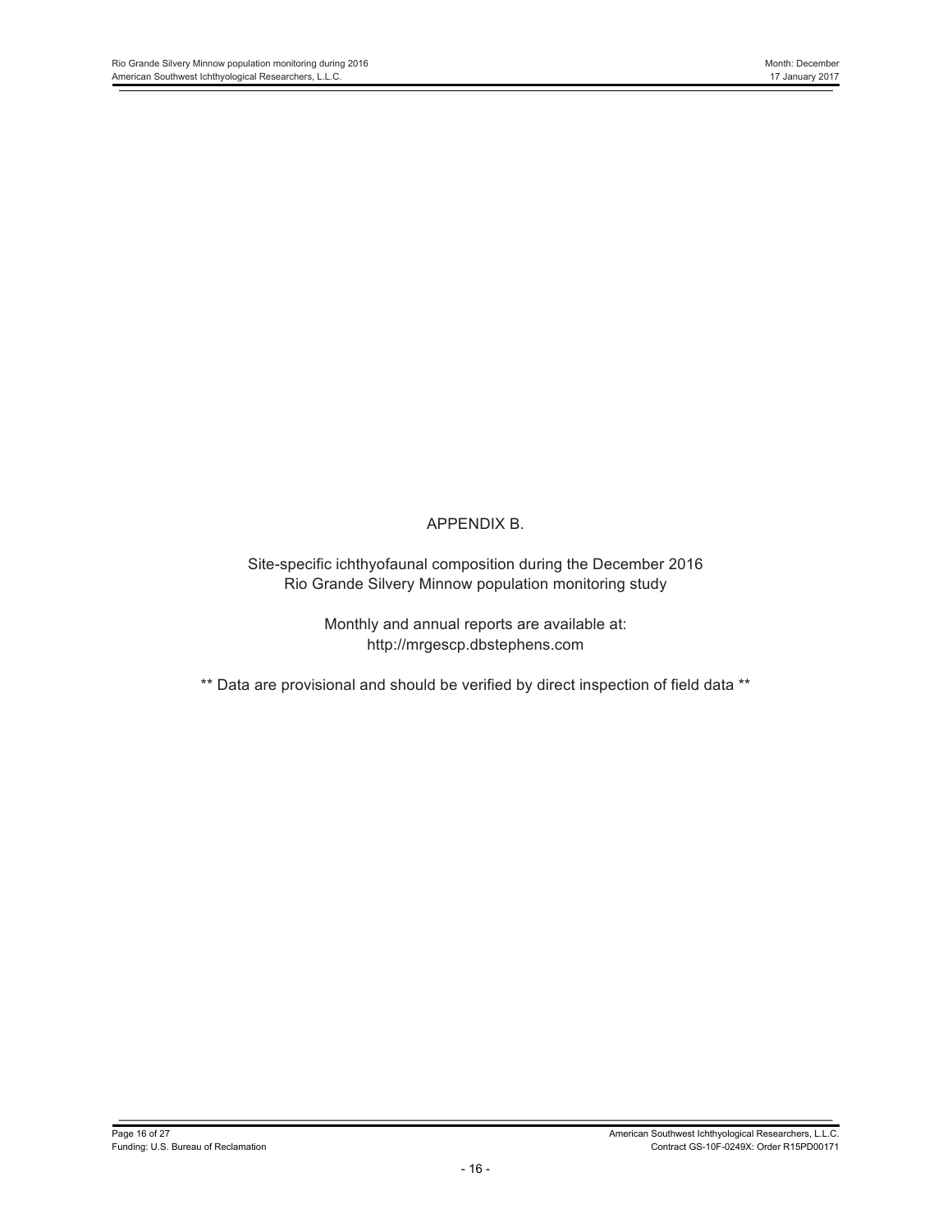## APPENDIX B.

Site-specific ichthyofaunal composition during the December 2016 Rio Grande Silvery Minnow population monitoring study

> Monthly and annual reports are available at: http://mrgescp.dbstephens.com

\*\* Data are provisional and should be verified by direct inspection of field data \*\*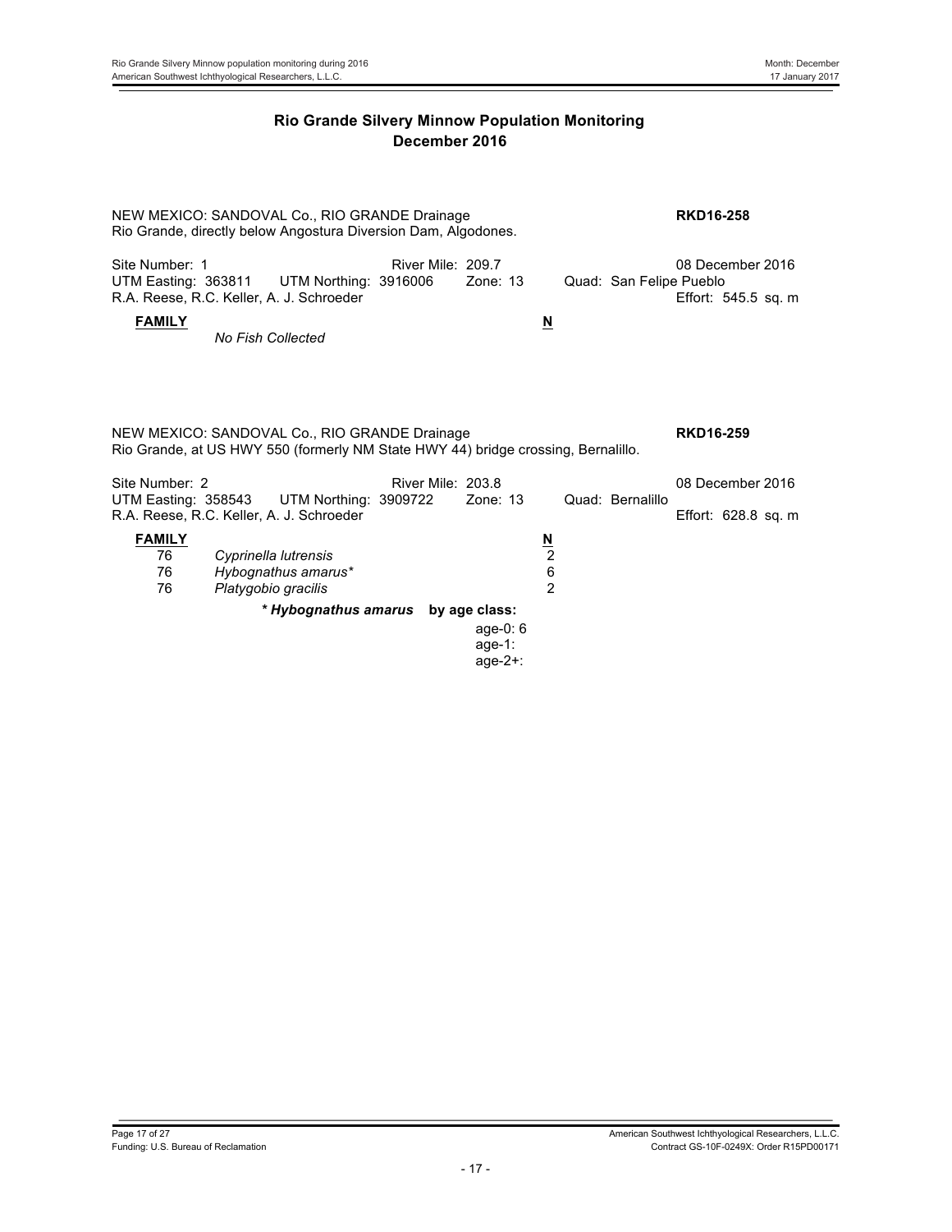| NEW MEXICO: SANDOVAL Co., RIO GRANDE Drainage<br>Rio Grande, directly below Angostura Diversion Dam, Algodones. | <b>RKD16-258</b>                                                                  |                   |                                     |                                      |                         |                                         |
|-----------------------------------------------------------------------------------------------------------------|-----------------------------------------------------------------------------------|-------------------|-------------------------------------|--------------------------------------|-------------------------|-----------------------------------------|
| Site Number: 1<br>UTM Easting: 363811                                                                           | UTM Northing: 3916006<br>R.A. Reese, R.C. Keller, A. J. Schroeder                 | River Mile: 209.7 | Zone: $13$                          |                                      | Quad: San Felipe Pueblo | 08 December 2016<br>Effort: 545.5 sq. m |
| <b>FAMILY</b>                                                                                                   | <b>No Fish Collected</b>                                                          |                   |                                     | $\underline{\mathbf{M}}$             |                         |                                         |
|                                                                                                                 | NEW MEXICO: SANDOVAL Co., RIO GRANDE Drainage                                     |                   |                                     |                                      |                         | <b>RKD16-259</b>                        |
|                                                                                                                 | Rio Grande, at US HWY 550 (formerly NM State HWY 44) bridge crossing, Bernalillo. |                   |                                     |                                      |                         |                                         |
| Site Number: 2<br>UTM Easting: 358543                                                                           | UTM Northing: 3909722<br>R.A. Reese, R.C. Keller, A. J. Schroeder                 | River Mile: 203.8 | Zone: $13$                          |                                      | Quad: Bernalillo        | 08 December 2016<br>Effort: 628.8 sq. m |
| <b>FAMILY</b><br>76<br>76<br>76                                                                                 | Cyprinella lutrensis<br>Hybognathus amarus*<br>Platygobio gracilis                |                   |                                     | $\frac{N}{2}$<br>6<br>$\mathfrak{p}$ |                         |                                         |
|                                                                                                                 | * Hybognathus amarus by age class:                                                |                   | age-0: $6$<br>age-1:<br>age- $2+$ : |                                      |                         |                                         |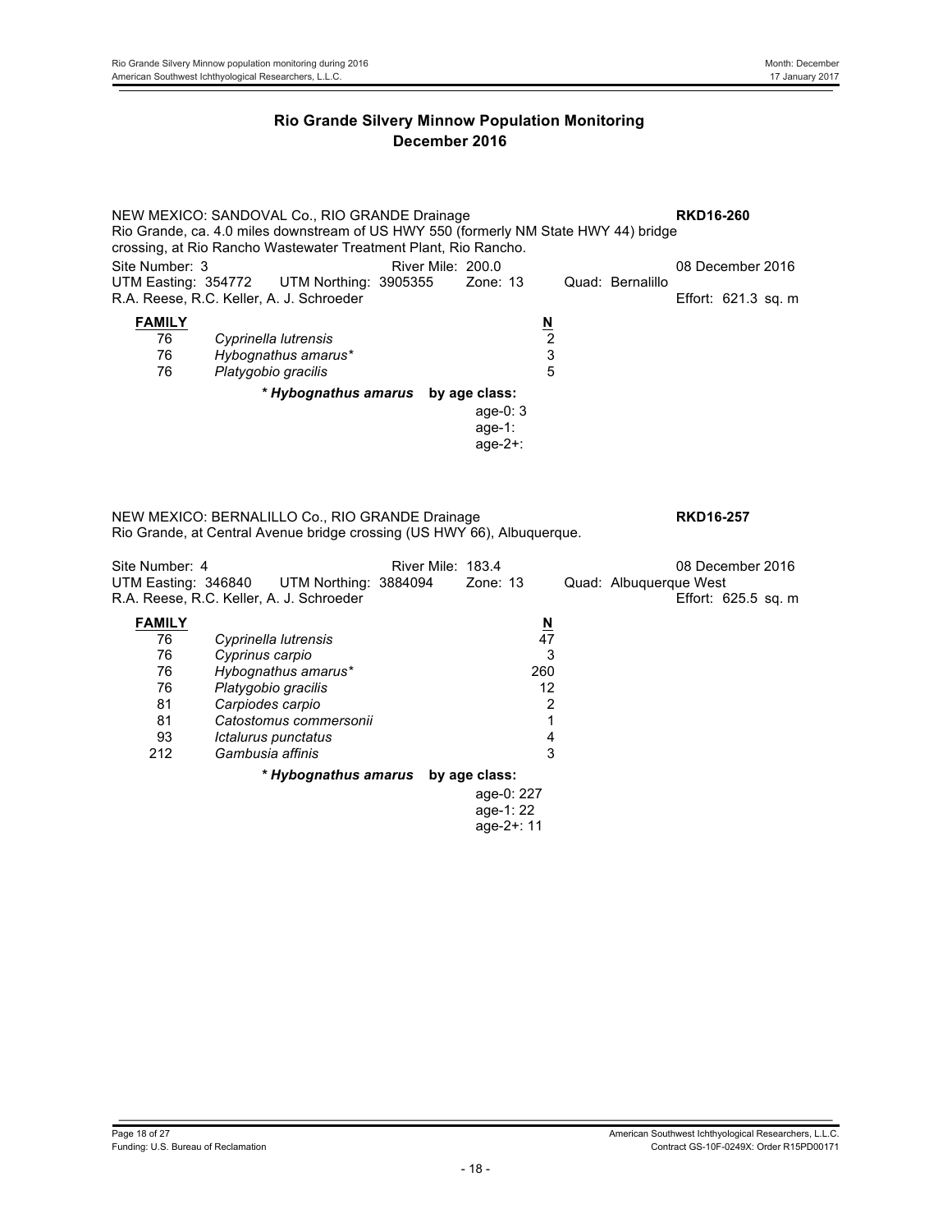NEW MEXICO: SANDOVAL Co., RIO GRANDE Drainage **RKD16-260** Rio Grande, ca. 4.0 miles downstream of US HWY 550 (formerly NM State HWY 44) bridge crossing, at Rio Rancho Wastewater Treatment Plant, Rio Rancho. Site Number: 3 **River Mile: 200.0** River Mile: 200.0 **08 December 2016**<br>
UTM Easting: 354772 UTM Northing: 3905355 Zone: 13 Quad: Bernalillo UTM Easting: 354772 UTM Northing: 3905355 R.A. Reese, R.C. Keller, A. J. Schroeder **Effort: 621.3 sq. m** Effort: 621.3 sq. m **FAMILY**<br>
76 Cyprinella lutrensis 2 76 *Cyprinella lutrensis* 2 76 *Hybognathus amarus\** 3 76 *Platygobio gracilis* 5 *\* Hybognathus amarus* **by age class:** age-0: 3 age-1: age-2+: NEW MEXICO: BERNALILLO Co., RIO GRANDE Drainage **RKD16-257** Rio Grande, at Central Avenue bridge crossing (US HWY 66), Albuquerque. Site Number: 4 **River Mile: 183.4** 08 December 2016 UTM Easting: 346840 UTM Northing: 3884094 Zone: 13 Quad: Albuquerque West R.A. Reese, R.C. Keller, A. J. Schroeder **Effort: 625.5 sq. m** Effort: 625.5 sq. m **FAMILY**<br>
76 Cyprinella lutrensis 47 76 *Cyprinella lutrensis* 47 76 *Cyprinus carpio* 3 76 *Hybognathus amarus\** 260 76 *Platygobio gracilis* 12 81 *Carpiodes carpio* 2 81 *Catostomus commersonii* 1 93 *Ictalurus punctatus* 4 Gambusia affinis *\* Hybognathus amarus* **by age class:** age-0: 227 age-1: 22 age-2+: 11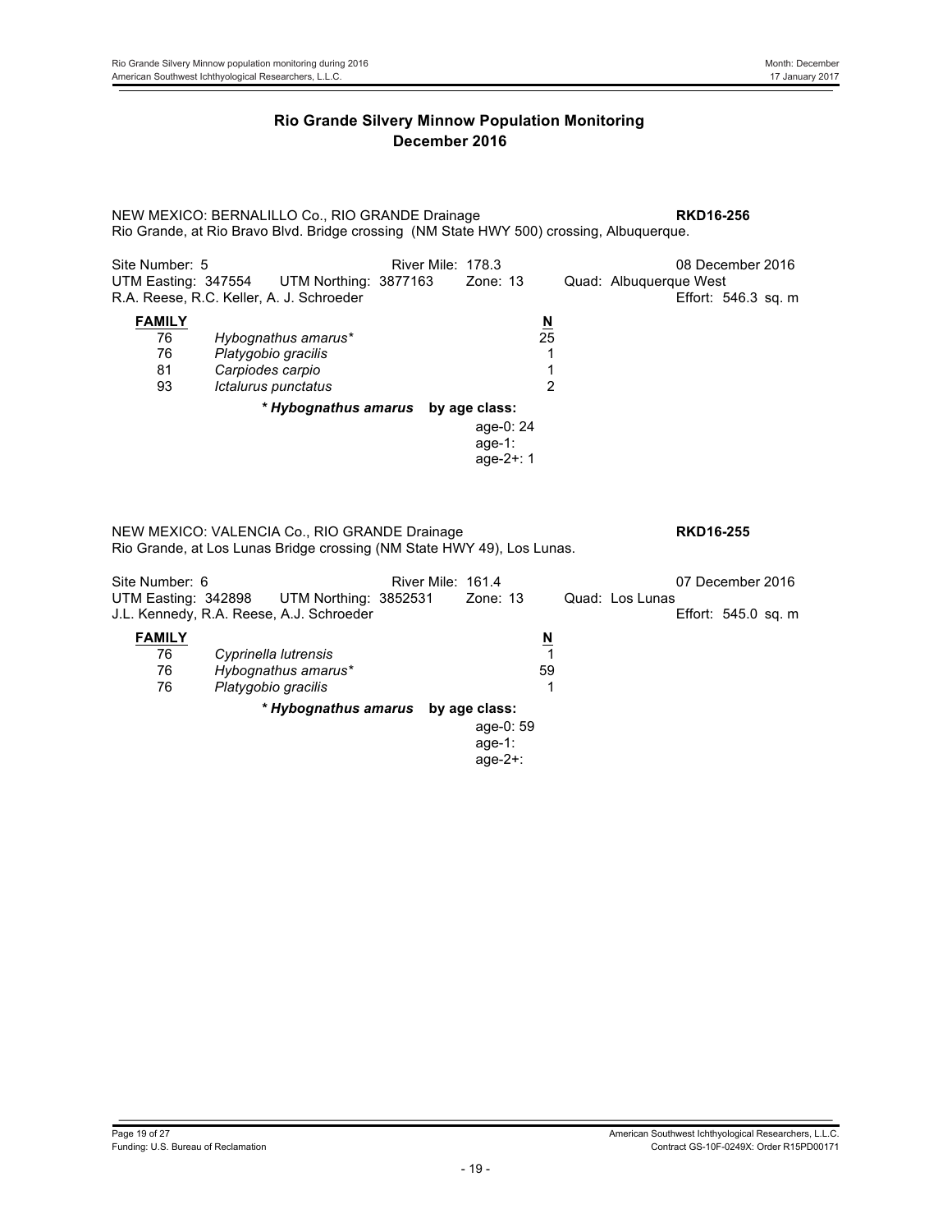NEW MEXICO: BERNALILLO Co., RIO GRANDE Drainage **RKD16-256** Rio Grande, at Rio Bravo Blvd. Bridge crossing (NM State HWY 500) crossing, Albuquerque. Site Number: 5 <br>
UTM Northing: 3877163 Zone: 13 Quad: Albuquerque West <br>
UTM Easting: 347554 UTM Northing: 3877163 Zone: 13 Quad: Albuquerque West Quad: Albuquerque West R.A. Reese, R.C. Keller, A. J. Schroeder **Effort: 546.3 sq. m FAMILY N** 76 *Hybognathus amarus\** 25 Platygobio gracilis **1** 81 *Carpiodes carpio* 1 93 *Ictalurus punctatus* 2 *\* Hybognathus amarus* **by age class:** age-0: 24 age-1: age-2+: 1 NEW MEXICO: VALENCIA Co., RIO GRANDE Drainage **RKD16-255** Rio Grande, at Los Lunas Bridge crossing (NM State HWY 49), Los Lunas. Site Number: 6 **River Mile: 161.4** 07 December 2016 UTM Easting: 342898 UTM Northing: 3852531 Zone: 13 Quad: Los Lunas J.L. Kennedy, R.A. Reese, A.J. Schroeder **FAMILY**<br>
76 Cyprinella lutrensis<br>
1 76 *Cyprinella lutrensis* 1 76 *Hybognathus amarus\** 59 76 *Platygobio gracilis* 1 *\* Hybognathus amarus* **by age class:** age-0: 59 age-1: age-2+: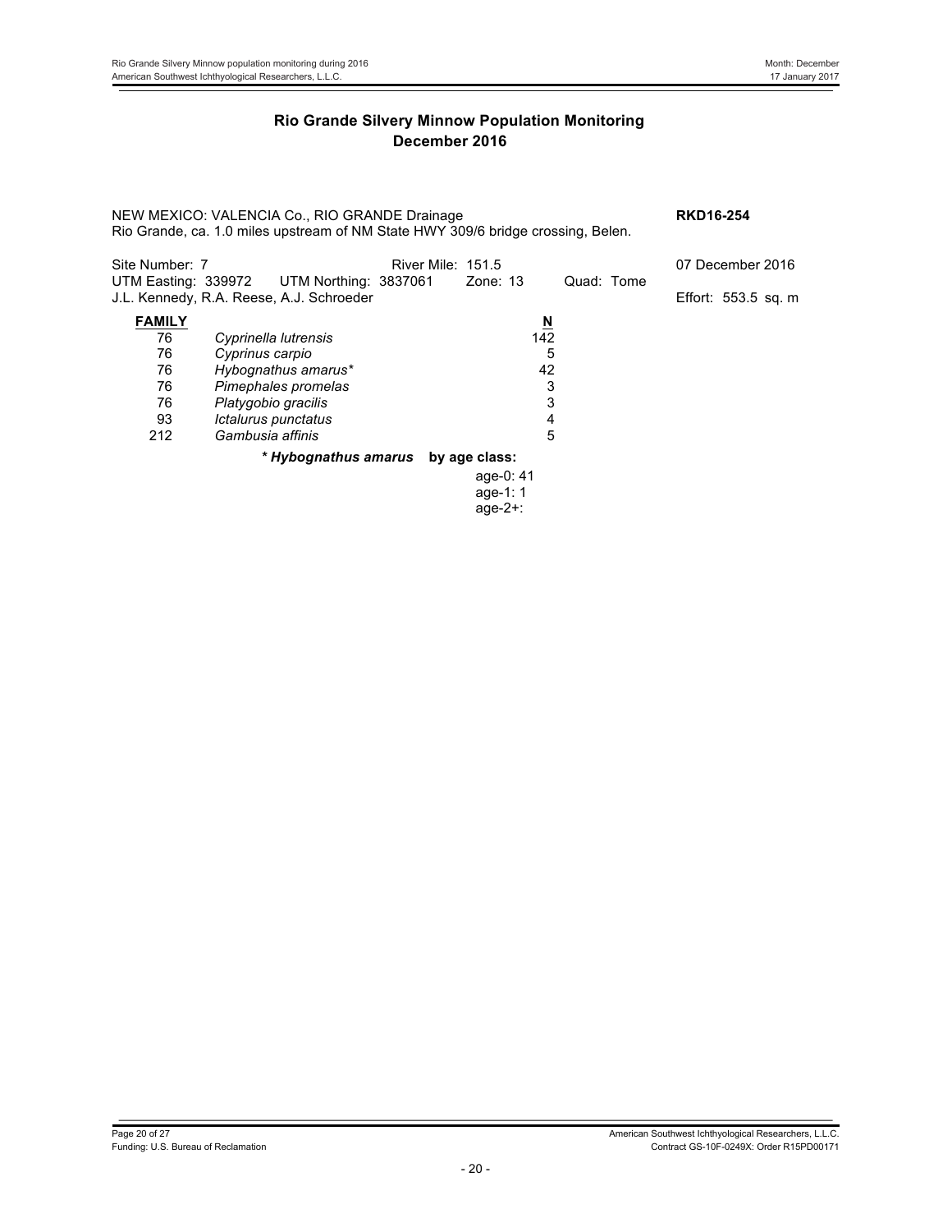| NEW MEXICO: VALENCIA Co., RIO GRANDE Drainage<br>Rio Grande, ca. 1.0 miles upstream of NM State HWY 309/6 bridge crossing, Belen. | <b>RKD16-254</b>                                                                               |                          |                         |            |                     |
|-----------------------------------------------------------------------------------------------------------------------------------|------------------------------------------------------------------------------------------------|--------------------------|-------------------------|------------|---------------------|
| Site Number: 7                                                                                                                    |                                                                                                | <b>River Mile: 151.5</b> |                         |            | 07 December 2016    |
|                                                                                                                                   | UTM Easting: 339972 UTM Northing: 3837061 Zone: 13<br>J.L. Kennedy, R.A. Reese, A.J. Schroeder |                          |                         | Quad: Tome | Effort: 553.5 sq. m |
| <b>FAMILY</b>                                                                                                                     |                                                                                                |                          | $\overline{\mathsf{N}}$ |            |                     |
| 76                                                                                                                                | Cyprinella lutrensis                                                                           |                          | 142                     |            |                     |
| 76                                                                                                                                | Cyprinus carpio                                                                                |                          | 5                       |            |                     |
| 76                                                                                                                                | Hybognathus amarus*                                                                            |                          | 42                      |            |                     |
| 76                                                                                                                                | Pimephales promelas                                                                            |                          | 3                       |            |                     |
| 76                                                                                                                                | Platygobio gracilis                                                                            |                          | 3                       |            |                     |
| 93                                                                                                                                | Ictalurus punctatus                                                                            |                          | 4                       |            |                     |
| 212                                                                                                                               | Gambusia affinis                                                                               |                          | 5                       |            |                     |
|                                                                                                                                   | * Hybognathus amarus by age class:                                                             |                          |                         |            |                     |
|                                                                                                                                   |                                                                                                |                          | age-0: 41               |            |                     |
|                                                                                                                                   |                                                                                                |                          | age-1: $1$              |            |                     |
|                                                                                                                                   |                                                                                                |                          | $age-2+$ :              |            |                     |
|                                                                                                                                   |                                                                                                |                          |                         |            |                     |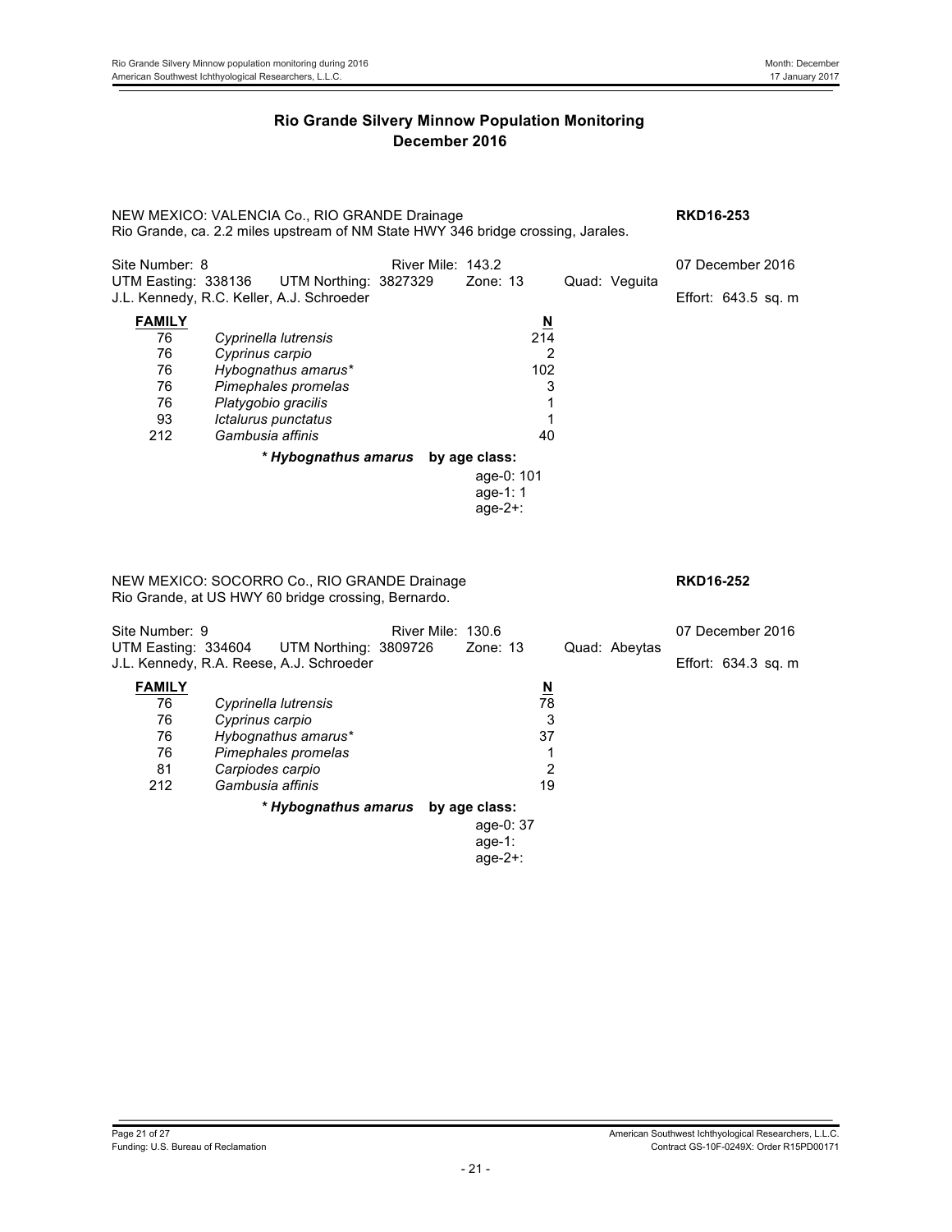NEW MEXICO: VALENCIA Co., RIO GRANDE Drainage **RKD16-253** Rio Grande, ca. 2.2 miles upstream of NM State HWY 346 bridge crossing, Jarales. Site Number: 8 **River Mile: 143.2** 07 December 2016<br>UTM Easting: 338136 UTM Northing: 3827329 Zone: 13 Quad: Veguita UTM Northing: 3827329 J.L. Kennedy, R.C. Keller, A.J. Schroeder **Effort: 643.5 sq. m** Effort: 643.5 sq. m **FAMILY N** 76 *Cyprinella lutrensis* 214 76 *Cyprinus carpio* 2 76 *Hybognathus amarus\** 102 76 *Pimephales promelas* 3 76 *Platygobio gracilis* 1 93 *Ictalurus punctatus* 1 Gambusia affinis *\* Hybognathus amarus* **by age class:** age-0: 101 age-1: 1 age-2+: NEW MEXICO: SOCORRO Co., RIO GRANDE Drainage **RKD16-252** Rio Grande, at US HWY 60 bridge crossing, Bernardo. Site Number: 9 The River Mile: 130.6 Contract to the USD or December 2016 UTM Easting: 334604 UTM Northing: 3809726 Zone: 13 Quad: Abeytas J.L. Kennedy, R.A. Reese, A.J. Schroeder **Effort: 634.3 sq. m** Effort: 634.3 sq. m **FAMILY**<br>
76 Cyprinella lutrensis<br>
78 76 *Cyprinella lutrensis* 78 76 *Cyprinus carpio* 3 76 *Hybognathus amarus\** 37 76 *Pimephales promelas* 1  $Carpodes$  *carpio* 212 *Gambusia affinis* 19 *\* Hybognathus amarus* **by age class:** age-0: 37 age-1: age-2+: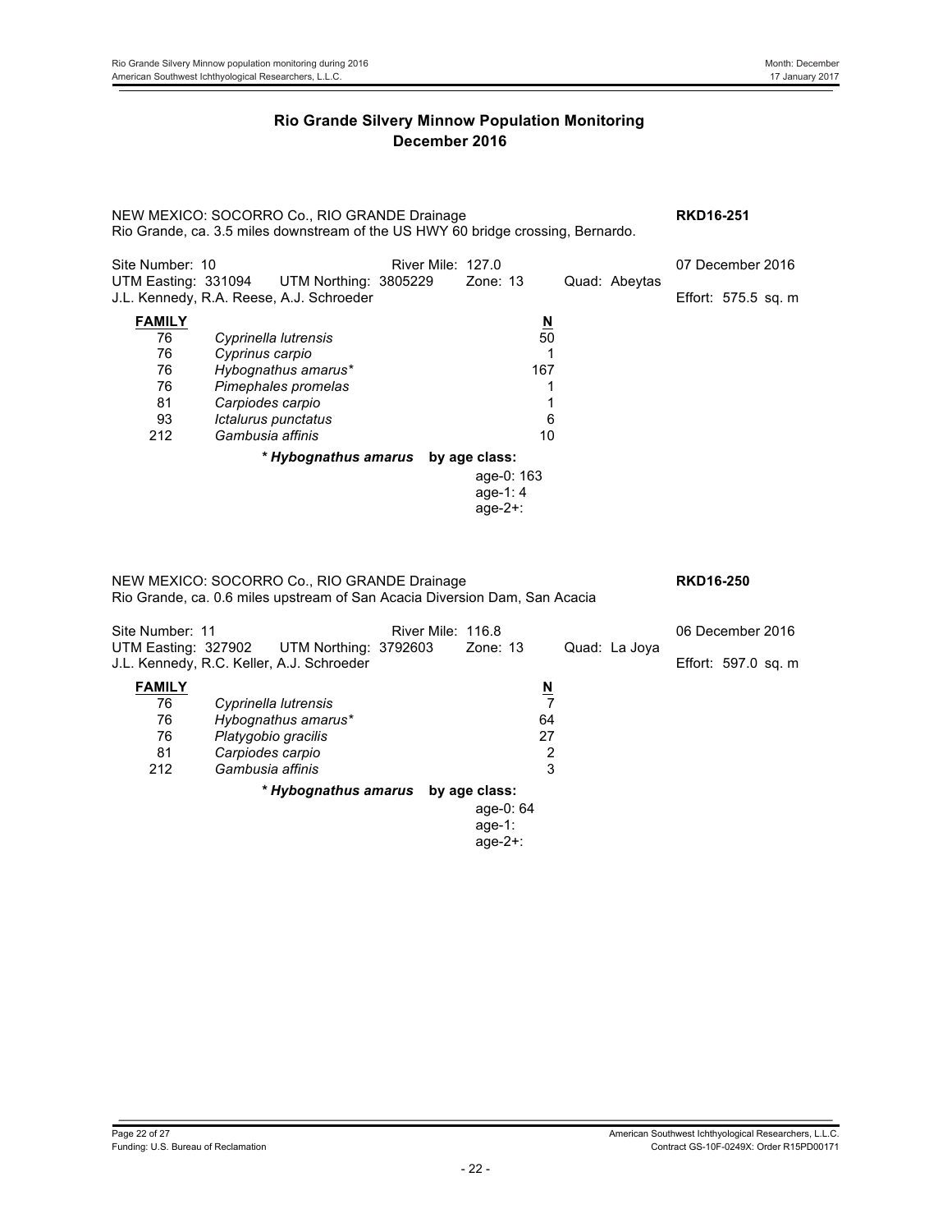NEW MEXICO: SOCORRO Co., RIO GRANDE Drainage **RKD16-251** Rio Grande, ca. 3.5 miles downstream of the US HWY 60 bridge crossing, Bernardo. Site Number: 10 **River Mile: 127.0** 07 December 2016<br>UTM Easting: 331094 UTM Northing: 3805229 Zone: 13 Quad: Abeytas UTM Northing: 3805229 J.L. Kennedy, R.A. Reese, A.J. Schroeder **Effort: 575.5 sq. m** Effort: 575.5 sq. m **FAMILY N** 76 *Cyprinella lutrensis* 50 76 *Cyprinus carpio* 1 76 *Hybognathus amarus\** 167 76 *Pimephales promelas* 1 81 *Carpiodes carpio* 1 93 *Ictalurus punctatus* 6 Gambusia affinis *\* Hybognathus amarus* **by age class:** age-0: 163 age-1: 4 age-2+: NEW MEXICO: SOCORRO Co., RIO GRANDE Drainage **RKD16-250** Rio Grande, ca. 0.6 miles upstream of San Acacia Diversion Dam, San Acacia Site Number: 11<br>
UTM Easting: 327902 UTM Northing: 3792603 Zone: 13 Quad: La Joya<br>
UTM Easting: 327902 UTM Northing: 3792603 Zone: 13 Quad: La Joya UTM Easting: 327902 UTM Northing: 3792603 Zone: 13 Quad: La Joya J.L. Kennedy, R.C. Keller, A.J. Schroeder **Effort: 597.0 sq. m** Effort: 597.0 sq. m **FAMILY**<br>
76 Cyprinella lutrensis<br>
7 76 *Cyprinella lutrensis* 7 76 *Hybognathus amarus\** 64 76 *Platygobio gracilis* 27 81 *Carpiodes carpio* 2 Gambusia affinis *\* Hybognathus amarus* **by age class:** age-0: 64 age-1: age-2+: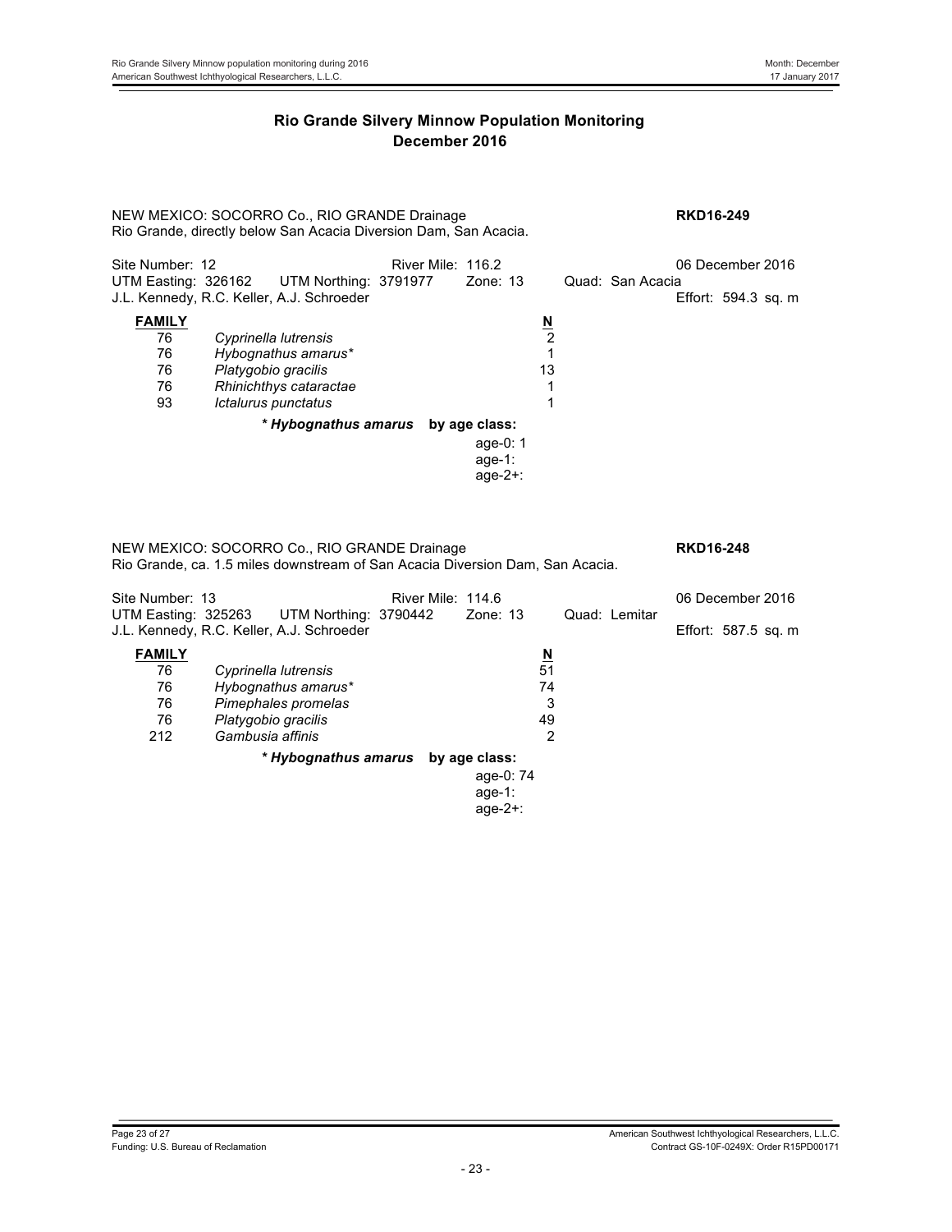NEW MEXICO: SOCORRO Co., RIO GRANDE Drainage **RKD16-249** Rio Grande, directly below San Acacia Diversion Dam, San Acacia.

| Site Number: 12 |                                                                                        | River Mile: 116.2 |               |                          |                  | 06 December 2016 |                     |  |
|-----------------|----------------------------------------------------------------------------------------|-------------------|---------------|--------------------------|------------------|------------------|---------------------|--|
|                 | UTM Easting: 326162 UTM Northing: 3791977<br>J.L. Kennedy, R.C. Keller, A.J. Schroeder |                   | Zone: 13      |                          | Quad: San Acacia |                  | Effort: 594.3 sq. m |  |
| <b>FAMILY</b>   |                                                                                        |                   |               | $\underline{\mathsf{N}}$ |                  |                  |                     |  |
| 76              | Cyprinella lutrensis                                                                   |                   |               | 2                        |                  |                  |                     |  |
| 76              | Hybognathus amarus*                                                                    |                   |               |                          |                  |                  |                     |  |
| 76              | Platygobio gracilis                                                                    |                   |               | 13                       |                  |                  |                     |  |
| 76              | Rhinichthys cataractae                                                                 |                   |               |                          |                  |                  |                     |  |
| 93              | Ictalurus punctatus                                                                    |                   |               |                          |                  |                  |                     |  |
|                 | * Hybognathus amarus                                                                   |                   | by age class: |                          |                  |                  |                     |  |
|                 |                                                                                        |                   | age-0: $1$    |                          |                  |                  |                     |  |
|                 |                                                                                        |                   | age-1:        |                          |                  |                  |                     |  |
|                 |                                                                                        |                   | age- $2+$ :   |                          |                  |                  |                     |  |

NEW MEXICO: SOCORRO Co., RIO GRANDE Drainage **RKD16-248** Rio Grande, ca. 1.5 miles downstream of San Acacia Diversion Dam, San Acacia.

| Site Number: 13 |                                                                                        | River Mile: 114.6 |             |                          |               | 06 December 2016    |  |
|-----------------|----------------------------------------------------------------------------------------|-------------------|-------------|--------------------------|---------------|---------------------|--|
|                 | UTM Easting: 325263 UTM Northing: 3790442<br>J.L. Kennedy, R.C. Keller, A.J. Schroeder |                   | Zone: 13    |                          | Quad: Lemitar | Effort: 587.5 sq. m |  |
| <b>FAMILY</b>   |                                                                                        |                   |             | $\underline{\mathsf{N}}$ |               |                     |  |
| 76              | Cyprinella lutrensis                                                                   |                   |             | 51                       |               |                     |  |
| 76              | Hybognathus amarus*                                                                    |                   |             | 74                       |               |                     |  |
| 76              | Pimephales promelas                                                                    |                   |             | 3                        |               |                     |  |
| 76              | Platygobio gracilis                                                                    |                   |             | 49                       |               |                     |  |
| 212             | Gambusia affinis                                                                       |                   |             | 2                        |               |                     |  |
|                 | * Hybognathus amarus by age class:                                                     |                   |             |                          |               |                     |  |
|                 |                                                                                        |                   | age-0: 74   |                          |               |                     |  |
|                 |                                                                                        |                   | age-1:      |                          |               |                     |  |
|                 |                                                                                        |                   | age- $2+$ : |                          |               |                     |  |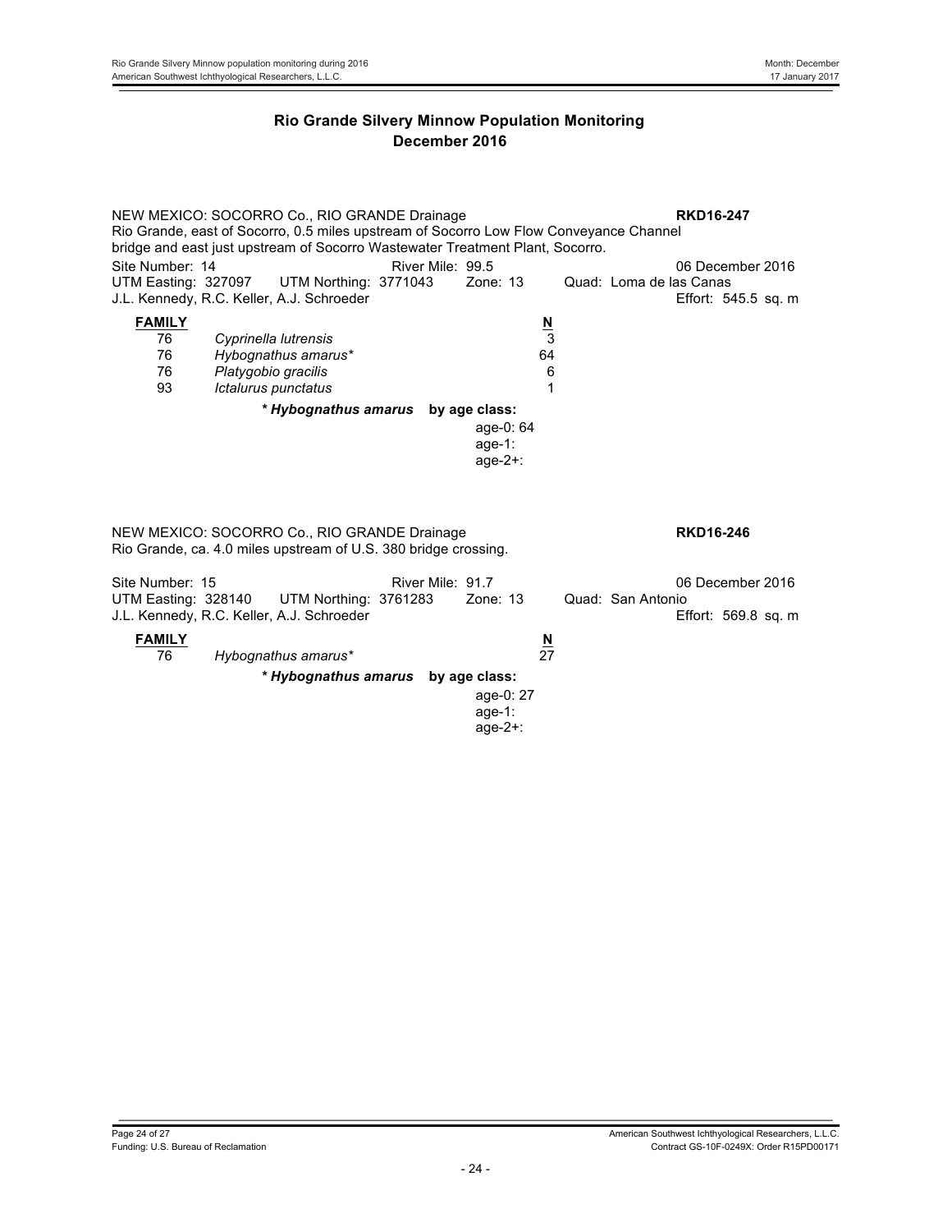NEW MEXICO: SOCORRO Co., RIO GRANDE Drainage **RKD16-247** Rio Grande, east of Socorro, 0.5 miles upstream of Socorro Low Flow Conveyance Channel bridge and east just upstream of Socorro Wastewater Treatment Plant, Socorro. Site Number: 14 River Mile: 99.5 06 December 2016 UTM Easting: 327097 UTM Northing: 3771043 Zone: 13 Quad: Loma de las Canas J.L. Kennedy, R.C. Keller, A.J. Schroeder **Effort: 545.5 sq. m** Effort: 545.5 sq. m **FAMILY N** 76 *Cyprinella lutrensis* 3 76 *Hybognathus amarus\** 64 76 *Platygobio gracilis* 6 93 *Ictalurus punctatus* 1 *\* Hybognathus amarus* **by age class:** age-0: 64 age-1: age-2+: NEW MEXICO: SOCORRO Co., RIO GRANDE Drainage **RKD16-246** Rio Grande, ca. 4.0 miles upstream of U.S. 380 bridge crossing. Site Number: 15 **River Mile: 91.7** River Mile: 91.7 **06 December 2016** UTM Easting: 328140 UTM Northing: 3761283 Zone: 13 Quad: San Antonio J.L. Kennedy, R.C. Keller, A.J. Schroeder **Effort: 569.8 sq. m** Effort: 569.8 sq. m **FAMILY**<br>
76 Hybognathus amarus<sup>\*</sup> 27 76 *Hybognathus amarus\** 27 *\* Hybognathus amarus* **by age class:** age-0: 27 age-1: age-2+: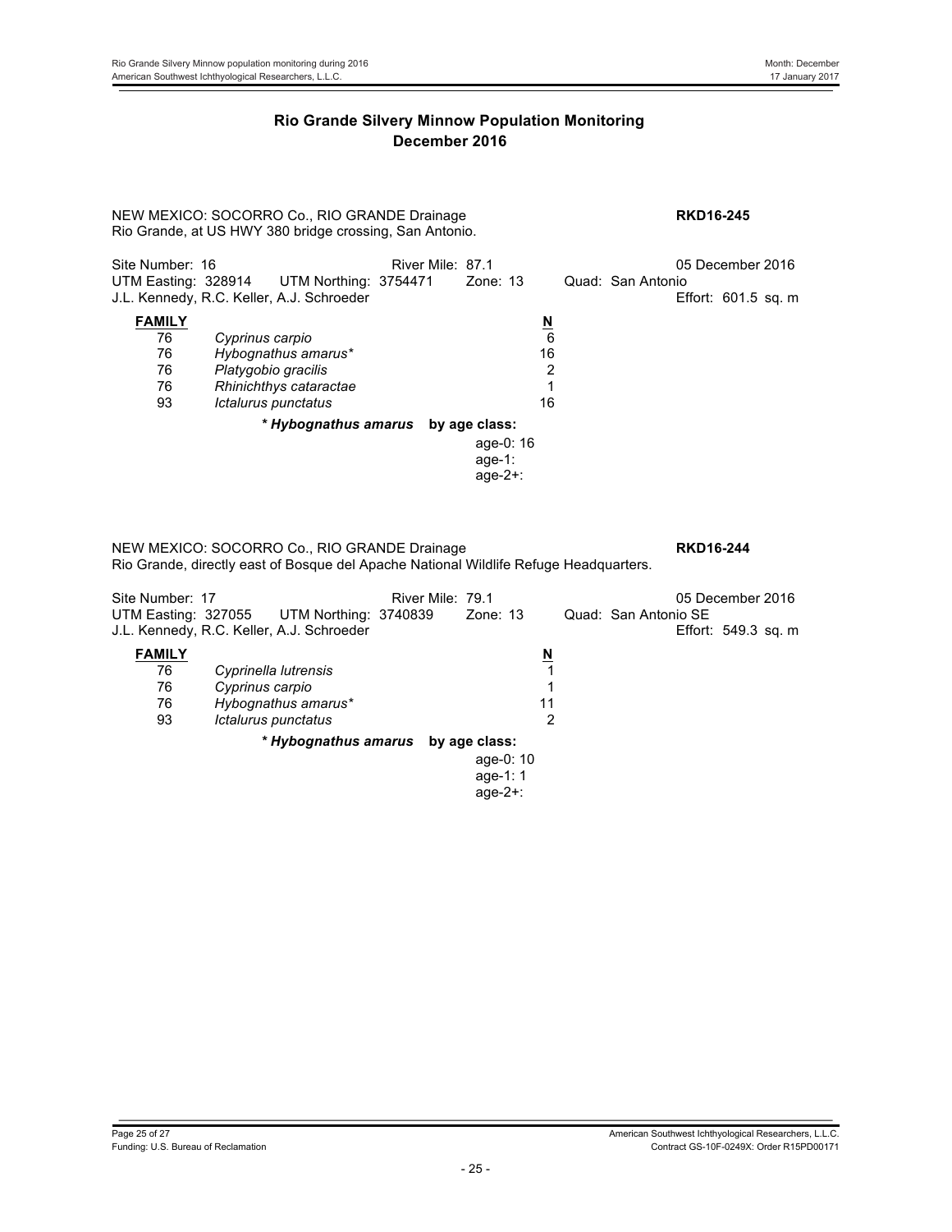NEW MEXICO: SOCORRO Co., RIO GRANDE Drainage **RKD16-245** Rio Grande, at US HWY 380 bridge crossing, San Antonio.

| Site Number: 16 |                                                                                        | River Mile: 87.1 |             |                          |                   | 05 December 2016    |  |
|-----------------|----------------------------------------------------------------------------------------|------------------|-------------|--------------------------|-------------------|---------------------|--|
|                 | UTM Easting: 328914 UTM Northing: 3754471<br>J.L. Kennedy, R.C. Keller, A.J. Schroeder |                  | Zone: 13    |                          | Quad: San Antonio | Effort: 601.5 sq. m |  |
| <b>FAMILY</b>   |                                                                                        |                  |             | $\underline{\mathsf{N}}$ |                   |                     |  |
| 76              | Cyprinus carpio                                                                        |                  |             | 6                        |                   |                     |  |
| 76              | Hybognathus amarus*                                                                    |                  |             | 16                       |                   |                     |  |
| 76              | Platygobio gracilis                                                                    |                  |             | 2                        |                   |                     |  |
| 76              | Rhinichthys cataractae                                                                 |                  |             |                          |                   |                     |  |
| 93              | Ictalurus punctatus                                                                    |                  |             | 16                       |                   |                     |  |
|                 | * Hybognathus amarus by age class:                                                     |                  |             |                          |                   |                     |  |
|                 |                                                                                        |                  | age-0: 16   |                          |                   |                     |  |
|                 |                                                                                        |                  | age-1:      |                          |                   |                     |  |
|                 |                                                                                        |                  | age- $2+$ : |                          |                   |                     |  |

NEW MEXICO: SOCORRO Co., RIO GRANDE Drainage **RKD16-244** Rio Grande, directly east of Bosque del Apache National Wildlife Refuge Headquarters.

| Site Number: 17<br>UTM Easting: 327055 | UTM Northing: 3740839<br>J.L. Kennedy, R.C. Keller, A.J. Schroeder | River Mile: 79.1<br>Zone: 13 |          | Quad: San Antonio SE | 05 December 2016<br>Effort: 549.3 sq. m |  |
|----------------------------------------|--------------------------------------------------------------------|------------------------------|----------|----------------------|-----------------------------------------|--|
| <b>FAMILY</b>                          |                                                                    |                              | <u>N</u> |                      |                                         |  |
| 76                                     | Cyprinella lutrensis                                               |                              |          |                      |                                         |  |
| 76                                     | Cyprinus carpio                                                    |                              |          |                      |                                         |  |
| 76                                     | Hybognathus amarus*                                                |                              | 11       |                      |                                         |  |
| 93                                     | Ictalurus punctatus                                                |                              | 2        |                      |                                         |  |
|                                        | * Hybognathus amarus                                               | by age class:                |          |                      |                                         |  |
|                                        |                                                                    | age-0: $10$                  |          |                      |                                         |  |
|                                        |                                                                    | age-1: $1$                   |          |                      |                                         |  |
|                                        |                                                                    | age- $2+$ :                  |          |                      |                                         |  |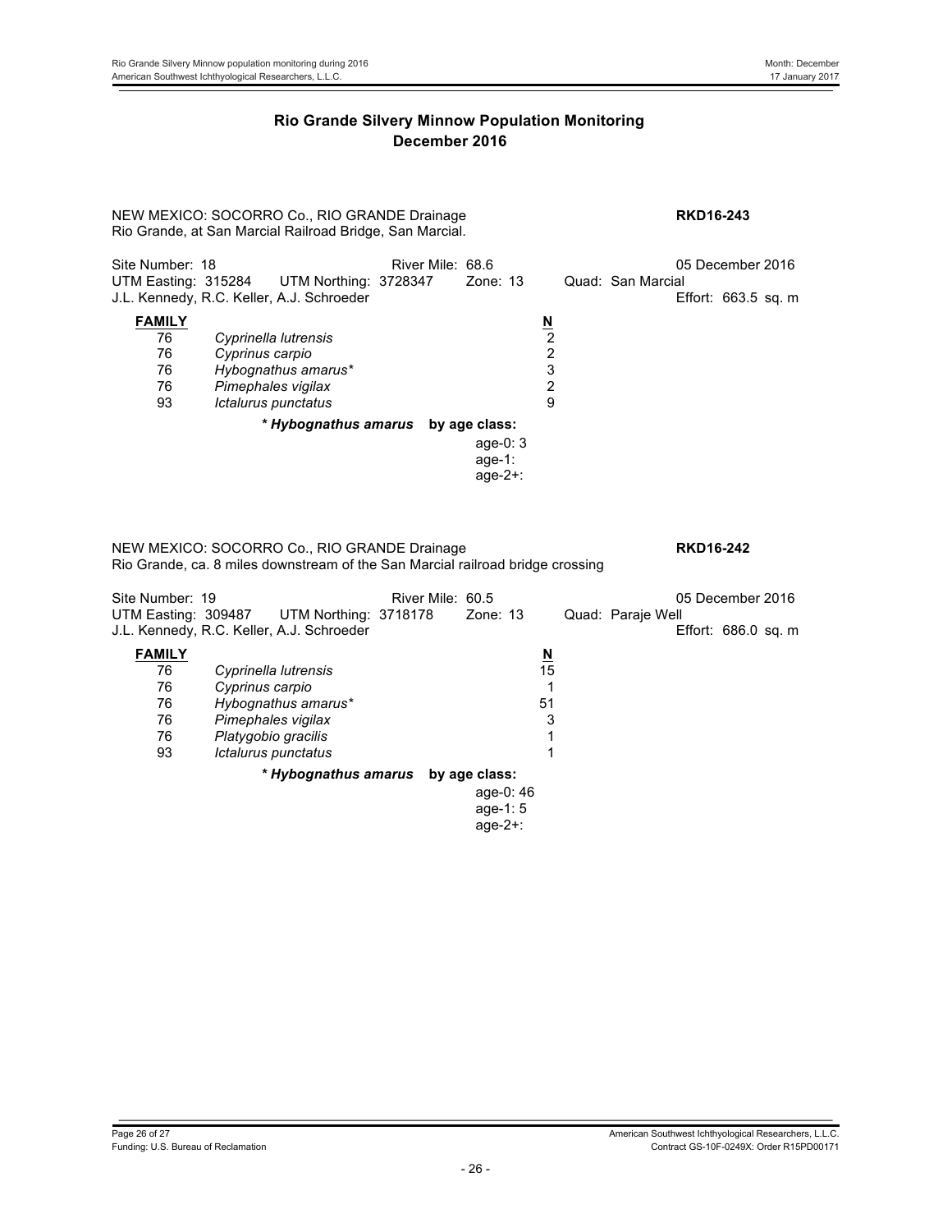NEW MEXICO: SOCORRO Co., RIO GRANDE Drainage **RKD16-243** Rio Grande, at San Marcial Railroad Bridge, San Marcial.

| Site Number: 18<br>UTM Easting: 315284      | UTM Northing: 3728347<br>J.L. Kennedy, R.C. Keller, A.J. Schroeder                                          | River Mile: 68.6<br>Zone: $13$                      |                                                                | 05 December 2016<br>Quad: San Marcial<br>Effort: $663.5$ sq. m |
|---------------------------------------------|-------------------------------------------------------------------------------------------------------------|-----------------------------------------------------|----------------------------------------------------------------|----------------------------------------------------------------|
| <b>FAMILY</b><br>76<br>76<br>76<br>76<br>93 | Cyprinella lutrensis<br>Cyprinus carpio<br>Hybognathus amarus*<br>Pimephales vigilax<br>Ictalurus punctatus |                                                     | $\underline{\mathsf{N}}$<br>$\overline{2}$<br>2<br>3<br>2<br>9 |                                                                |
|                                             | * Hybognathus amarus                                                                                        | by age class:<br>age-0: $3$<br>age-1:<br>$age-2+$ : |                                                                |                                                                |

NEW MEXICO: SOCORRO Co., RIO GRANDE Drainage **RKD16-242** Rio Grande, ca. 8 miles downstream of the San Marcial railroad bridge crossing

| Site Number: 19                                   | UTM Easting: 309487 UTM Northing: 3718178<br>J.L. Kennedy, R.C. Keller, A.J. Schroeder                                             | River Mile: 60.5<br>Zone: 13                           |         | 05 December 2016<br>Quad: Paraje Well<br>Effort: 686.0 sq. m |
|---------------------------------------------------|------------------------------------------------------------------------------------------------------------------------------------|--------------------------------------------------------|---------|--------------------------------------------------------------|
| <b>FAMILY</b><br>76<br>76<br>76<br>76<br>76<br>93 | Cyprinella lutrensis<br>Cyprinus carpio<br>Hybognathus amarus*<br>Pimephales vigilax<br>Platygobio gracilis<br>Ictalurus punctatus | $\underline{\mathsf{N}}$<br>51                         | 15<br>3 |                                                              |
|                                                   | * Hybognathus amarus                                                                                                               | by age class:<br>age-0: 46<br>age-1: $5$<br>$age-2+$ : |         |                                                              |